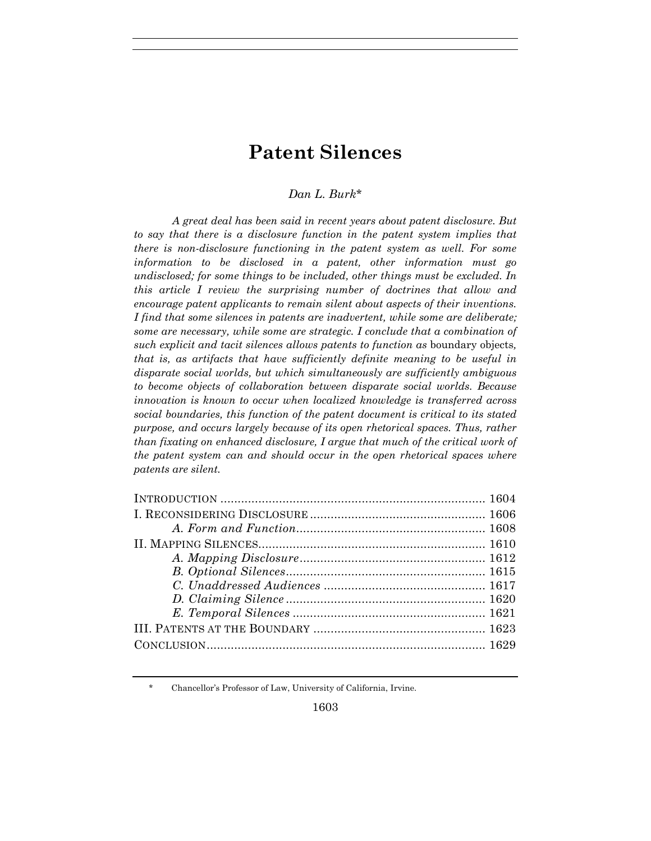# **Patent Silences**

# *Dan L. Burk*\*

*A great deal has been said in recent years about patent disclosure. But to say that there is a disclosure function in the patent system implies that there is non-disclosure functioning in the patent system as well. For some information to be disclosed in a patent, other information must go undisclosed; for some things to be included, other things must be excluded. In this article I review the surprising number of doctrines that allow and encourage patent applicants to remain silent about aspects of their inventions. I find that some silences in patents are inadvertent, while some are deliberate; some are necessary, while some are strategic. I conclude that a combination of such explicit and tacit silences allows patents to function as* boundary objects*, that is, as artifacts that have sufficiently definite meaning to be useful in disparate social worlds, but which simultaneously are sufficiently ambiguous to become objects of collaboration between disparate social worlds. Because innovation is known to occur when localized knowledge is transferred across social boundaries, this function of the patent document is critical to its stated purpose, and occurs largely because of its open rhetorical spaces. Thus, rather than fixating on enhanced disclosure, I argue that much of the critical work of the patent system can and should occur in the open rhetorical spaces where patents are silent.* 

<sup>\*</sup> Chancellor's Professor of Law, University of California, Irvine.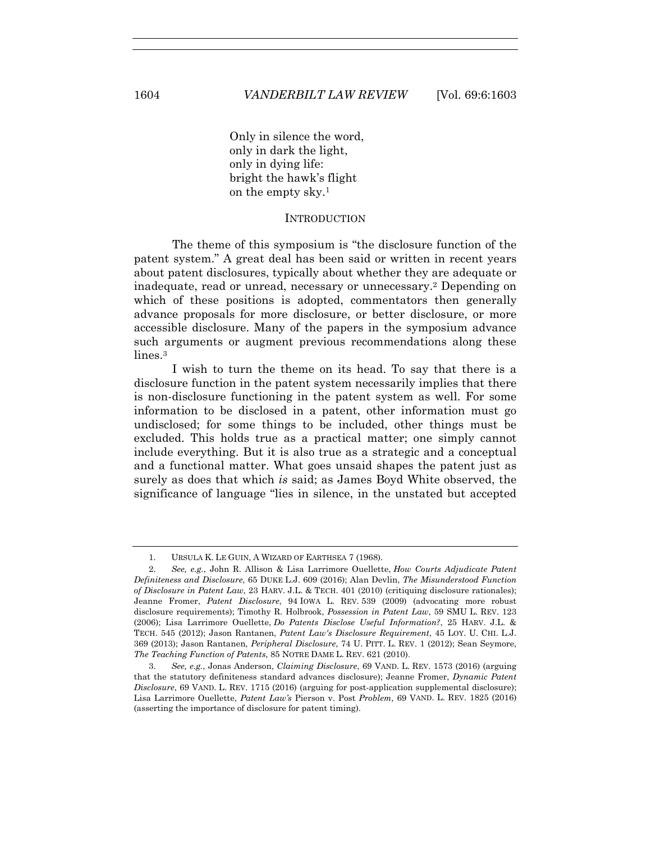Only in silence the word, only in dark the light, only in dying life: bright the hawk's flight on the empty sky.1

#### **INTRODUCTION**

The theme of this symposium is "the disclosure function of the patent system." A great deal has been said or written in recent years about patent disclosures, typically about whether they are adequate or inadequate, read or unread, necessary or unnecessary.2 Depending on which of these positions is adopted, commentators then generally advance proposals for more disclosure, or better disclosure, or more accessible disclosure. Many of the papers in the symposium advance such arguments or augment previous recommendations along these lines.<sup>3</sup>

I wish to turn the theme on its head. To say that there is a disclosure function in the patent system necessarily implies that there is non-disclosure functioning in the patent system as well. For some information to be disclosed in a patent, other information must go undisclosed; for some things to be included, other things must be excluded. This holds true as a practical matter; one simply cannot include everything. But it is also true as a strategic and a conceptual and a functional matter. What goes unsaid shapes the patent just as surely as does that which *is* said; as James Boyd White observed, the significance of language "lies in silence, in the unstated but accepted

 <sup>1.</sup> URSULA K. LE GUIN, A WIZARD OF EARTHSEA 7 (1968).

 <sup>2.</sup> *See, e.g.*, John R. Allison & Lisa Larrimore Ouellette, *How Courts Adjudicate Patent Definiteness and Disclosure*, 65 DUKE L.J. 609 (2016); Alan Devlin, *The Misunderstood Function of Disclosure in Patent Law*, 23 HARV. J.L. & TECH. 401 (2010) (critiquing disclosure rationales); Jeanne Fromer, *Patent Disclosure*, 94 IOWA L. REV. 539 (2009) (advocating more robust disclosure requirements); Timothy R. Holbrook, *Possession in Patent Law*, 59 SMU L. REV. 123 (2006); Lisa Larrimore Ouellette, *Do Patents Disclose Useful Information?*, 25 HARV. J.L. & TECH. 545 (2012); Jason Rantanen, *Patent Law's Disclosure Requirement*, 45 LOY. U. CHI. L.J. 369 (2013); Jason Rantanen, *Peripheral Disclosure*, 74 U. PITT. L. REV. 1 (2012); Sean Seymore, *The Teaching Function of Patents*, 85 NOTRE DAME L. REV. 621 (2010).

 <sup>3.</sup> *See, e.g.*, Jonas Anderson, *Claiming Disclosure*, 69 VAND. L. REV. 1573 (2016) (arguing that the statutory definiteness standard advances disclosure); Jeanne Fromer, *Dynamic Patent Disclosure*, 69 VAND. L. REV. 1715 (2016) (arguing for post-application supplemental disclosure); Lisa Larrimore Ouellette, *Patent Law's* Pierson v. Post *Problem*, 69 VAND. L. REV. 1825 (2016) (asserting the importance of disclosure for patent timing).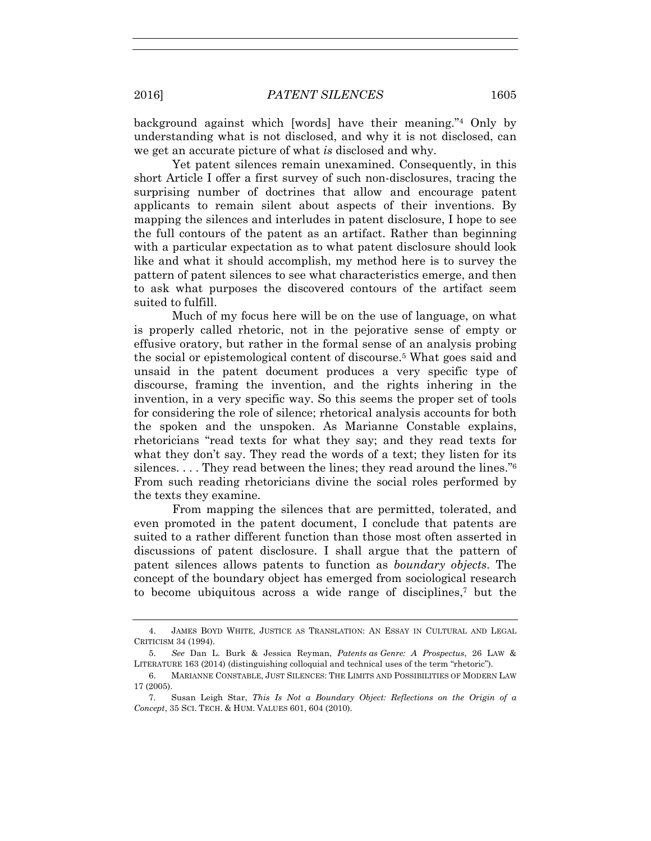background against which [words] have their meaning."4 Only by understanding what is not disclosed, and why it is not disclosed, can we get an accurate picture of what *is* disclosed and why.

Yet patent silences remain unexamined. Consequently, in this short Article I offer a first survey of such non-disclosures, tracing the surprising number of doctrines that allow and encourage patent applicants to remain silent about aspects of their inventions. By mapping the silences and interludes in patent disclosure, I hope to see the full contours of the patent as an artifact. Rather than beginning with a particular expectation as to what patent disclosure should look like and what it should accomplish, my method here is to survey the pattern of patent silences to see what characteristics emerge, and then to ask what purposes the discovered contours of the artifact seem suited to fulfill.

Much of my focus here will be on the use of language, on what is properly called rhetoric, not in the pejorative sense of empty or effusive oratory, but rather in the formal sense of an analysis probing the social or epistemological content of discourse.5 What goes said and unsaid in the patent document produces a very specific type of discourse, framing the invention, and the rights inhering in the invention, in a very specific way. So this seems the proper set of tools for considering the role of silence; rhetorical analysis accounts for both the spoken and the unspoken. As Marianne Constable explains, rhetoricians "read texts for what they say; and they read texts for what they don't say. They read the words of a text; they listen for its silences.  $\dots$  They read between the lines; they read around the lines." $6$ From such reading rhetoricians divine the social roles performed by the texts they examine.

From mapping the silences that are permitted, tolerated, and even promoted in the patent document, I conclude that patents are suited to a rather different function than those most often asserted in discussions of patent disclosure. I shall argue that the pattern of patent silences allows patents to function as *boundary objects*. The concept of the boundary object has emerged from sociological research to become ubiquitous across a wide range of disciplines,7 but the

 <sup>4.</sup> JAMES BOYD WHITE, JUSTICE AS TRANSLATION: AN ESSAY IN CULTURAL AND LEGAL CRITICISM 34 (1994).

 <sup>5.</sup> *See* Dan L. Burk & Jessica Reyman, *Patents as Genre: A Prospectus*, 26 LAW & LITERATURE 163 (2014) (distinguishing colloquial and technical uses of the term "rhetoric").

 <sup>6.</sup> MARIANNE CONSTABLE, JUST SILENCES: THE LIMITS AND POSSIBILITIES OF MODERN LAW 17 (2005).

 <sup>7.</sup> Susan Leigh Star, *This Is Not a Boundary Object: Reflections on the Origin of a Concept*, 35 SCI. TECH. & HUM. VALUES 601, 604 (2010).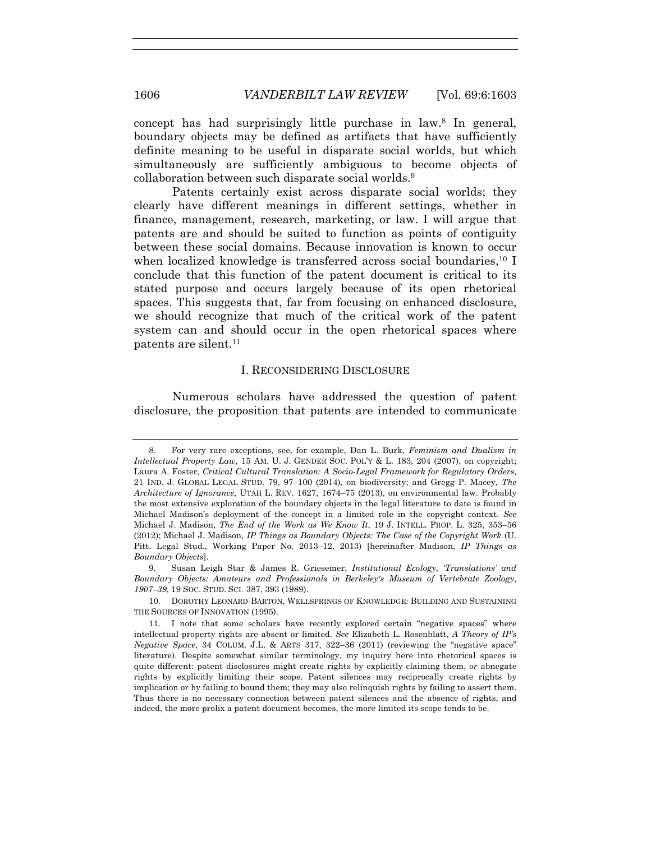concept has had surprisingly little purchase in law.8 In general, boundary objects may be defined as artifacts that have sufficiently definite meaning to be useful in disparate social worlds, but which simultaneously are sufficiently ambiguous to become objects of collaboration between such disparate social worlds.9

Patents certainly exist across disparate social worlds; they clearly have different meanings in different settings, whether in finance, management, research, marketing, or law. I will argue that patents are and should be suited to function as points of contiguity between these social domains. Because innovation is known to occur when localized knowledge is transferred across social boundaries,  $^{10}$  I conclude that this function of the patent document is critical to its stated purpose and occurs largely because of its open rhetorical spaces. This suggests that, far from focusing on enhanced disclosure, we should recognize that much of the critical work of the patent system can and should occur in the open rhetorical spaces where patents are silent.11

### I. RECONSIDERING DISCLOSURE

Numerous scholars have addressed the question of patent disclosure, the proposition that patents are intended to communicate

 <sup>8.</sup> For very rare exceptions, see, for example, Dan L. Burk, *Feminism and Dualism in Intellectual Property Law*, 15 AM. U. J. GENDER SOC. POL'Y & L. 183, 204 (2007), on copyright; Laura A. Foster, *Critical Cultural Translation: A Socio-Legal Framework for Regulatory Orders*, 21 IND. J. GLOBAL LEGAL STUD. 79, 97–100 (2014), on biodiversity; and Gregg P. Macey, *The Architecture of Ignorance*, UTAH L. REV. 1627, 1674–75 (2013), on environmental law. Probably the most extensive exploration of the boundary objects in the legal literature to date is found in Michael Madison's deployment of the concept in a limited role in the copyright context. *See* Michael J. Madison, *The End of the Work as We Know It*, 19 J. INTELL. PROP. L. 325, 353–56 (2012); Michael J. Madison, *IP Things as Boundary Objects: The Case of the Copyright Work* (U. Pitt. Legal Stud., Working Paper No. 2013–12, 2013) [hereinafter Madison, *IP Things as Boundary Objects*].

 <sup>9.</sup> Susan Leigh Star & James R. Griesemer, *Institutional Ecology*, *'Translations' and Boundary Objects: Amateurs and Professionals in Berkeley's Museum of Vertebrate Zoology*, *1907–39*, 19 SOC. STUD. SCI. 387, 393 (1989).

 <sup>10.</sup> DOROTHY LEONARD-BARTON, WELLSPRINGS OF KNOWLEDGE: BUILDING AND SUSTAINING THE SOURCES OF INNOVATION (1995).

 <sup>11.</sup> I note that some scholars have recently explored certain "negative spaces" where intellectual property rights are absent or limited. *See* Elizabeth L. Rosenblatt, *A Theory of IP's Negative Space*, 34 COLUM. J.L. & ARTS 317, 322–36 (2011) (reviewing the "negative space" literature). Despite somewhat similar terminology, my inquiry here into rhetorical spaces is quite different: patent disclosures might create rights by explicitly claiming them, *or* abnegate rights by explicitly limiting their scope. Patent silences may reciprocally create rights by implication or by failing to bound them; they may also relinquish rights by failing to assert them. Thus there is no necessary connection between patent silences and the absence of rights, and indeed, the more prolix a patent document becomes, the more limited its scope tends to be.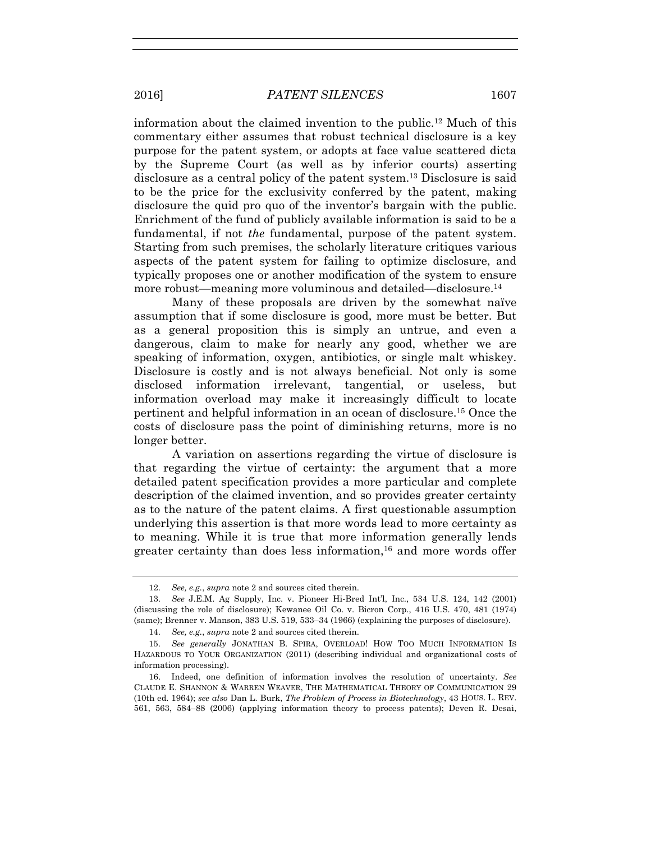information about the claimed invention to the public.12 Much of this commentary either assumes that robust technical disclosure is a key purpose for the patent system, or adopts at face value scattered dicta by the Supreme Court (as well as by inferior courts) asserting disclosure as a central policy of the patent system.13 Disclosure is said to be the price for the exclusivity conferred by the patent, making disclosure the quid pro quo of the inventor's bargain with the public. Enrichment of the fund of publicly available information is said to be a fundamental, if not *the* fundamental, purpose of the patent system. Starting from such premises, the scholarly literature critiques various aspects of the patent system for failing to optimize disclosure, and typically proposes one or another modification of the system to ensure more robust—meaning more voluminous and detailed—disclosure.<sup>14</sup>

Many of these proposals are driven by the somewhat naïve assumption that if some disclosure is good, more must be better. But as a general proposition this is simply an untrue, and even a dangerous, claim to make for nearly any good, whether we are speaking of information, oxygen, antibiotics, or single malt whiskey. Disclosure is costly and is not always beneficial. Not only is some disclosed information irrelevant, tangential, or useless, but information overload may make it increasingly difficult to locate pertinent and helpful information in an ocean of disclosure.15 Once the costs of disclosure pass the point of diminishing returns, more is no longer better.

A variation on assertions regarding the virtue of disclosure is that regarding the virtue of certainty: the argument that a more detailed patent specification provides a more particular and complete description of the claimed invention, and so provides greater certainty as to the nature of the patent claims. A first questionable assumption underlying this assertion is that more words lead to more certainty as to meaning. While it is true that more information generally lends greater certainty than does less information, $16$  and more words offer

 <sup>12.</sup> *See, e.g.*, *supra* note 2 and sources cited therein.

 <sup>13.</sup> *See* J.E.M. Ag Supply, Inc. v. Pioneer Hi-Bred Int'l, Inc., 534 U.S. 124, 142 (2001) (discussing the role of disclosure); Kewanee Oil Co. v. Bicron Corp., 416 U.S. 470, 481 (1974) (same); Brenner v. Manson, 383 U.S. 519, 533–34 (1966) (explaining the purposes of disclosure).

 <sup>14.</sup> *See, e.g.*, *supra* note 2 and sources cited therein.

 <sup>15.</sup> *See generally* JONATHAN B. SPIRA, OVERLOAD! HOW TOO MUCH INFORMATION IS HAZARDOUS TO YOUR ORGANIZATION (2011) (describing individual and organizational costs of information processing).

 <sup>16.</sup> Indeed, one definition of information involves the resolution of uncertainty. *See* CLAUDE E. SHANNON & WARREN WEAVER, THE MATHEMATICAL THEORY OF COMMUNICATION 29 (10th ed. 1964); *see also* Dan L. Burk, *The Problem of Process in Biotechnology*, 43 HOUS. L. REV. 561, 563, 584–88 (2006) (applying information theory to process patents); Deven R. Desai,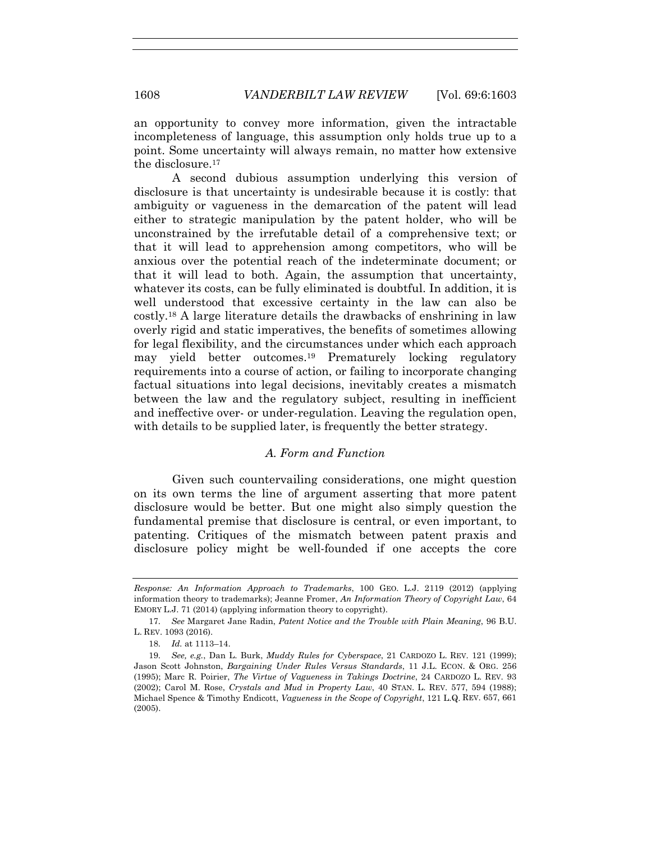an opportunity to convey more information, given the intractable incompleteness of language, this assumption only holds true up to a point. Some uncertainty will always remain, no matter how extensive the disclosure.17

A second dubious assumption underlying this version of disclosure is that uncertainty is undesirable because it is costly: that ambiguity or vagueness in the demarcation of the patent will lead either to strategic manipulation by the patent holder, who will be unconstrained by the irrefutable detail of a comprehensive text; or that it will lead to apprehension among competitors, who will be anxious over the potential reach of the indeterminate document; or that it will lead to both. Again, the assumption that uncertainty, whatever its costs, can be fully eliminated is doubtful. In addition, it is well understood that excessive certainty in the law can also be costly.18 A large literature details the drawbacks of enshrining in law overly rigid and static imperatives, the benefits of sometimes allowing for legal flexibility, and the circumstances under which each approach may yield better outcomes.19 Prematurely locking regulatory requirements into a course of action, or failing to incorporate changing factual situations into legal decisions, inevitably creates a mismatch between the law and the regulatory subject, resulting in inefficient and ineffective over- or under-regulation. Leaving the regulation open, with details to be supplied later, is frequently the better strategy.

# *A. Form and Function*

Given such countervailing considerations, one might question on its own terms the line of argument asserting that more patent disclosure would be better. But one might also simply question the fundamental premise that disclosure is central, or even important, to patenting. Critiques of the mismatch between patent praxis and disclosure policy might be well-founded if one accepts the core

*Response: An Information Approach to Trademarks*, 100 GEO. L.J. 2119 (2012) (applying information theory to trademarks); Jeanne Fromer, *An Information Theory of Copyright Law*, 64 EMORY L.J. 71 (2014) (applying information theory to copyright).

 <sup>17.</sup> *See* Margaret Jane Radin, *Patent Notice and the Trouble with Plain Meaning*, 96 B.U. L. REV. 1093 (2016).

 <sup>18.</sup> *Id.* at 1113–14.

 <sup>19.</sup> *See, e.g.*, Dan L. Burk, *Muddy Rules for Cyberspace*, 21 CARDOZO L. REV. 121 (1999); Jason Scott Johnston, *Bargaining Under Rules Versus Standards*, 11 J.L. ECON. & ORG. 256 (1995); Marc R. Poirier, *The Virtue of Vagueness in Takings Doctrine*, 24 CARDOZO L. REV. 93 (2002); Carol M. Rose, *Crystals and Mud in Property Law*, 40 STAN. L. REV. 577, 594 (1988); Michael Spence & Timothy Endicott, *Vagueness in the Scope of Copyright*, 121 L.Q. REV. 657, 661 (2005).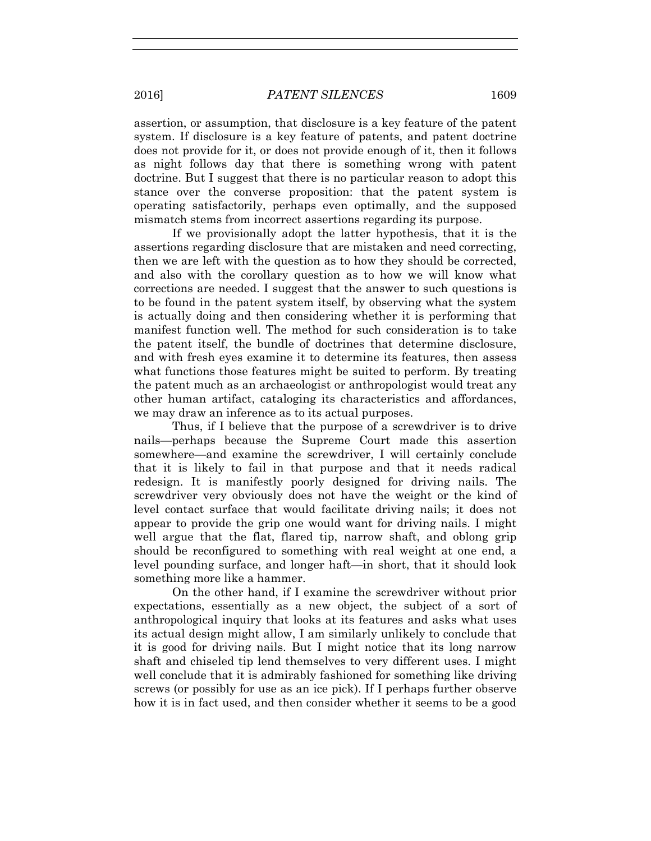assertion, or assumption, that disclosure is a key feature of the patent system. If disclosure is a key feature of patents, and patent doctrine does not provide for it, or does not provide enough of it, then it follows as night follows day that there is something wrong with patent doctrine. But I suggest that there is no particular reason to adopt this stance over the converse proposition: that the patent system is operating satisfactorily, perhaps even optimally, and the supposed mismatch stems from incorrect assertions regarding its purpose.

If we provisionally adopt the latter hypothesis, that it is the assertions regarding disclosure that are mistaken and need correcting, then we are left with the question as to how they should be corrected, and also with the corollary question as to how we will know what corrections are needed. I suggest that the answer to such questions is to be found in the patent system itself, by observing what the system is actually doing and then considering whether it is performing that manifest function well. The method for such consideration is to take the patent itself, the bundle of doctrines that determine disclosure, and with fresh eyes examine it to determine its features, then assess what functions those features might be suited to perform. By treating the patent much as an archaeologist or anthropologist would treat any other human artifact, cataloging its characteristics and affordances, we may draw an inference as to its actual purposes.

Thus, if I believe that the purpose of a screwdriver is to drive nails—perhaps because the Supreme Court made this assertion somewhere—and examine the screwdriver, I will certainly conclude that it is likely to fail in that purpose and that it needs radical redesign. It is manifestly poorly designed for driving nails. The screwdriver very obviously does not have the weight or the kind of level contact surface that would facilitate driving nails; it does not appear to provide the grip one would want for driving nails. I might well argue that the flat, flared tip, narrow shaft, and oblong grip should be reconfigured to something with real weight at one end, a level pounding surface, and longer haft—in short, that it should look something more like a hammer.

On the other hand, if I examine the screwdriver without prior expectations, essentially as a new object, the subject of a sort of anthropological inquiry that looks at its features and asks what uses its actual design might allow, I am similarly unlikely to conclude that it is good for driving nails. But I might notice that its long narrow shaft and chiseled tip lend themselves to very different uses. I might well conclude that it is admirably fashioned for something like driving screws (or possibly for use as an ice pick). If I perhaps further observe how it is in fact used, and then consider whether it seems to be a good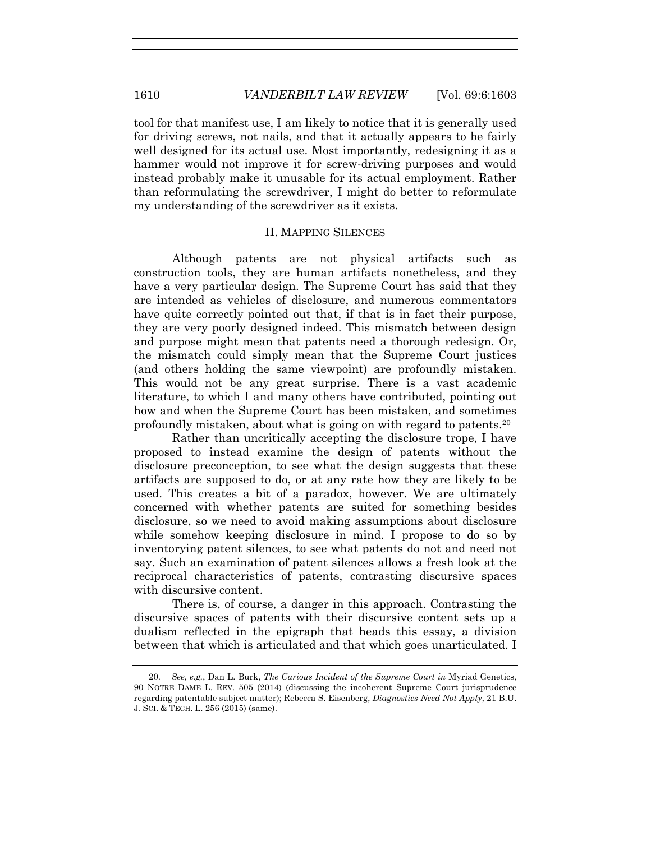tool for that manifest use, I am likely to notice that it is generally used for driving screws, not nails, and that it actually appears to be fairly well designed for its actual use. Most importantly, redesigning it as a hammer would not improve it for screw-driving purposes and would instead probably make it unusable for its actual employment. Rather than reformulating the screwdriver, I might do better to reformulate my understanding of the screwdriver as it exists.

## II. MAPPING SILENCES

Although patents are not physical artifacts such as construction tools, they are human artifacts nonetheless, and they have a very particular design. The Supreme Court has said that they are intended as vehicles of disclosure, and numerous commentators have quite correctly pointed out that, if that is in fact their purpose, they are very poorly designed indeed. This mismatch between design and purpose might mean that patents need a thorough redesign. Or, the mismatch could simply mean that the Supreme Court justices (and others holding the same viewpoint) are profoundly mistaken. This would not be any great surprise. There is a vast academic literature, to which I and many others have contributed, pointing out how and when the Supreme Court has been mistaken, and sometimes profoundly mistaken, about what is going on with regard to patents.20

Rather than uncritically accepting the disclosure trope, I have proposed to instead examine the design of patents without the disclosure preconception, to see what the design suggests that these artifacts are supposed to do, or at any rate how they are likely to be used. This creates a bit of a paradox, however. We are ultimately concerned with whether patents are suited for something besides disclosure, so we need to avoid making assumptions about disclosure while somehow keeping disclosure in mind. I propose to do so by inventorying patent silences, to see what patents do not and need not say. Such an examination of patent silences allows a fresh look at the reciprocal characteristics of patents, contrasting discursive spaces with discursive content.

There is, of course, a danger in this approach. Contrasting the discursive spaces of patents with their discursive content sets up a dualism reflected in the epigraph that heads this essay, a division between that which is articulated and that which goes unarticulated. I

 <sup>20.</sup> *See, e.g.*, Dan L. Burk, *The Curious Incident of the Supreme Court in* Myriad Genetics, 90 NOTRE DAME L. REV. 505 (2014) (discussing the incoherent Supreme Court jurisprudence regarding patentable subject matter); Rebecca S. Eisenberg, *Diagnostics Need Not Apply*, 21 B.U. J. SCI. & TECH. L. 256 (2015) (same).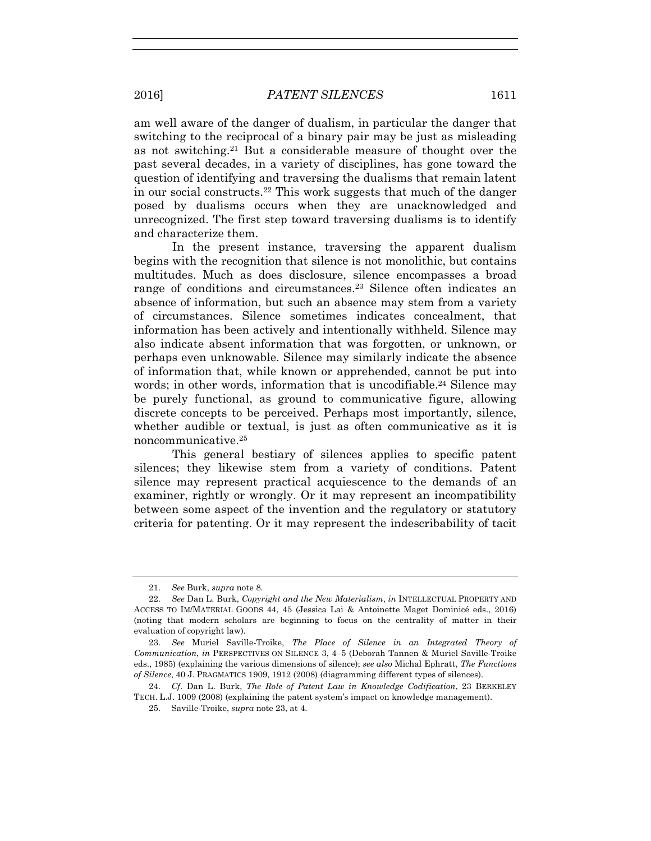am well aware of the danger of dualism, in particular the danger that switching to the reciprocal of a binary pair may be just as misleading as not switching.21 But a considerable measure of thought over the past several decades, in a variety of disciplines, has gone toward the question of identifying and traversing the dualisms that remain latent in our social constructs.22 This work suggests that much of the danger posed by dualisms occurs when they are unacknowledged and unrecognized. The first step toward traversing dualisms is to identify and characterize them.

In the present instance, traversing the apparent dualism begins with the recognition that silence is not monolithic, but contains multitudes. Much as does disclosure, silence encompasses a broad range of conditions and circumstances.23 Silence often indicates an absence of information, but such an absence may stem from a variety of circumstances. Silence sometimes indicates concealment, that information has been actively and intentionally withheld. Silence may also indicate absent information that was forgotten, or unknown, or perhaps even unknowable. Silence may similarly indicate the absence of information that, while known or apprehended, cannot be put into words; in other words, information that is uncodifiable.<sup>24</sup> Silence may be purely functional, as ground to communicative figure, allowing discrete concepts to be perceived. Perhaps most importantly, silence, whether audible or textual, is just as often communicative as it is noncommunicative.25

This general bestiary of silences applies to specific patent silences; they likewise stem from a variety of conditions. Patent silence may represent practical acquiescence to the demands of an examiner, rightly or wrongly. Or it may represent an incompatibility between some aspect of the invention and the regulatory or statutory criteria for patenting. Or it may represent the indescribability of tacit

 <sup>21.</sup> *See* Burk, *supra* note 8.

 <sup>22.</sup> *See* Dan L. Burk, *Copyright and the New Materialism*, *in* INTELLECTUAL PROPERTY AND ACCESS TO IM/MATERIAL GOODS 44, 45 (Jessica Lai & Antoinette Maget Dominicé eds., 2016) (noting that modern scholars are beginning to focus on the centrality of matter in their evaluation of copyright law).

 <sup>23.</sup> *See* Muriel Saville-Troike, *The Place of Silence in an Integrated Theory of Communication*, *in* PERSPECTIVES ON SILENCE 3, 4–5 (Deborah Tannen & Muriel Saville-Troike eds., 1985) (explaining the various dimensions of silence); *see also* Michal Ephratt, *The Functions of Silence*, 40 J. PRAGMATICS 1909, 1912 (2008) (diagramming different types of silences).

 <sup>24.</sup> *Cf*. Dan L. Burk, *The Role of Patent Law in Knowledge Codification*, 23 BERKELEY TECH. L.J. 1009 (2008) (explaining the patent system's impact on knowledge management).

 <sup>25.</sup> Saville-Troike, *supra* note 23, at 4.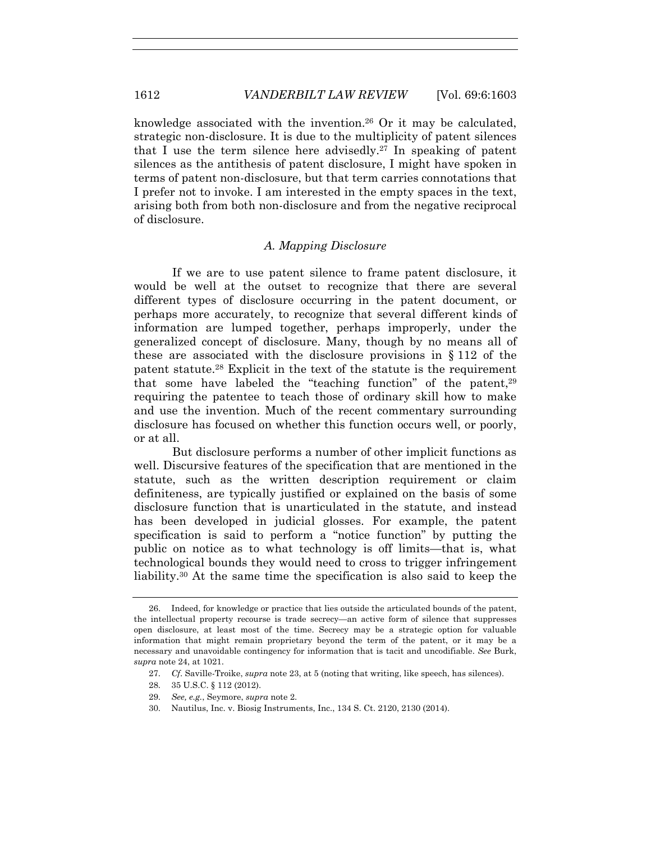knowledge associated with the invention.26 Or it may be calculated, strategic non-disclosure. It is due to the multiplicity of patent silences that I use the term silence here advisedly.<sup>27</sup> In speaking of patent silences as the antithesis of patent disclosure, I might have spoken in terms of patent non-disclosure, but that term carries connotations that I prefer not to invoke. I am interested in the empty spaces in the text, arising both from both non-disclosure and from the negative reciprocal of disclosure.

## *A. Mapping Disclosure*

If we are to use patent silence to frame patent disclosure, it would be well at the outset to recognize that there are several different types of disclosure occurring in the patent document, or perhaps more accurately, to recognize that several different kinds of information are lumped together, perhaps improperly, under the generalized concept of disclosure. Many, though by no means all of these are associated with the disclosure provisions in § 112 of the patent statute.28 Explicit in the text of the statute is the requirement that some have labeled the "teaching function" of the patent, $29$ requiring the patentee to teach those of ordinary skill how to make and use the invention. Much of the recent commentary surrounding disclosure has focused on whether this function occurs well, or poorly, or at all.

But disclosure performs a number of other implicit functions as well. Discursive features of the specification that are mentioned in the statute, such as the written description requirement or claim definiteness, are typically justified or explained on the basis of some disclosure function that is unarticulated in the statute, and instead has been developed in judicial glosses. For example, the patent specification is said to perform a "notice function" by putting the public on notice as to what technology is off limits—that is, what technological bounds they would need to cross to trigger infringement liability.30 At the same time the specification is also said to keep the

28. 35 U.S.C. § 112 (2012).

 <sup>26.</sup> Indeed, for knowledge or practice that lies outside the articulated bounds of the patent, the intellectual property recourse is trade secrecy—an active form of silence that suppresses open disclosure, at least most of the time. Secrecy may be a strategic option for valuable information that might remain proprietary beyond the term of the patent, or it may be a necessary and unavoidable contingency for information that is tacit and uncodifiable. *See* Burk, *supra* note 24, at 1021.

 <sup>27.</sup> *Cf*. Saville-Troike, *supra* note 23, at 5 (noting that writing, like speech, has silences).

 <sup>29.</sup> *See, e.g.*, Seymore, *supra* note 2.

 <sup>30.</sup> Nautilus, Inc. v. Biosig Instruments, Inc., 134 S. Ct. 2120, 2130 (2014).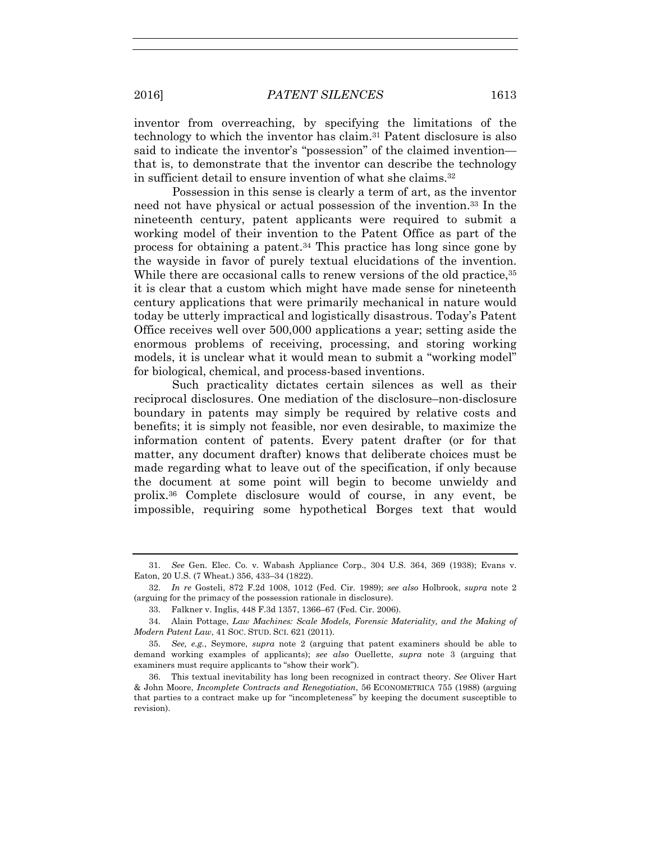inventor from overreaching, by specifying the limitations of the technology to which the inventor has claim.31 Patent disclosure is also said to indicate the inventor's "possession" of the claimed invention that is, to demonstrate that the inventor can describe the technology in sufficient detail to ensure invention of what she claims.32

Possession in this sense is clearly a term of art, as the inventor need not have physical or actual possession of the invention.33 In the nineteenth century, patent applicants were required to submit a working model of their invention to the Patent Office as part of the process for obtaining a patent.34 This practice has long since gone by the wayside in favor of purely textual elucidations of the invention. While there are occasional calls to renew versions of the old practice.<sup>35</sup> it is clear that a custom which might have made sense for nineteenth century applications that were primarily mechanical in nature would today be utterly impractical and logistically disastrous. Today's Patent Office receives well over 500,000 applications a year; setting aside the enormous problems of receiving, processing, and storing working models, it is unclear what it would mean to submit a "working model" for biological, chemical, and process-based inventions.

Such practicality dictates certain silences as well as their reciprocal disclosures. One mediation of the disclosure–non-disclosure boundary in patents may simply be required by relative costs and benefits; it is simply not feasible, nor even desirable, to maximize the information content of patents. Every patent drafter (or for that matter, any document drafter) knows that deliberate choices must be made regarding what to leave out of the specification, if only because the document at some point will begin to become unwieldy and prolix.36 Complete disclosure would of course, in any event, be impossible, requiring some hypothetical Borges text that would

 <sup>31.</sup> *See* Gen. Elec. Co. v. Wabash Appliance Corp., 304 U.S. 364, 369 (1938); Evans v. Eaton, 20 U.S. (7 Wheat.) 356, 433–34 (1822).

 <sup>32.</sup> *In re* Gosteli, 872 F.2d 1008, 1012 (Fed. Cir. 1989); *see also* Holbrook, *supra* note 2 (arguing for the primacy of the possession rationale in disclosure).

 <sup>33.</sup> Falkner v. Inglis, 448 F.3d 1357, 1366–67 (Fed. Cir. 2006).

 <sup>34.</sup> Alain Pottage, *Law Machines: Scale Models, Forensic Materiality, and the Making of Modern Patent Law*, 41 SOC. STUD. SCI. 621 (2011).

 <sup>35.</sup> *See, e.g.*, Seymore, *supra* note 2 (arguing that patent examiners should be able to demand working examples of applicants); *see also* Ouellette, *supra* note 3 (arguing that examiners must require applicants to "show their work").

 <sup>36.</sup> This textual inevitability has long been recognized in contract theory. *See* Oliver Hart & John Moore, *Incomplete Contracts and Renegotiation*, 56 ECONOMETRICA 755 (1988) (arguing that parties to a contract make up for "incompleteness" by keeping the document susceptible to revision).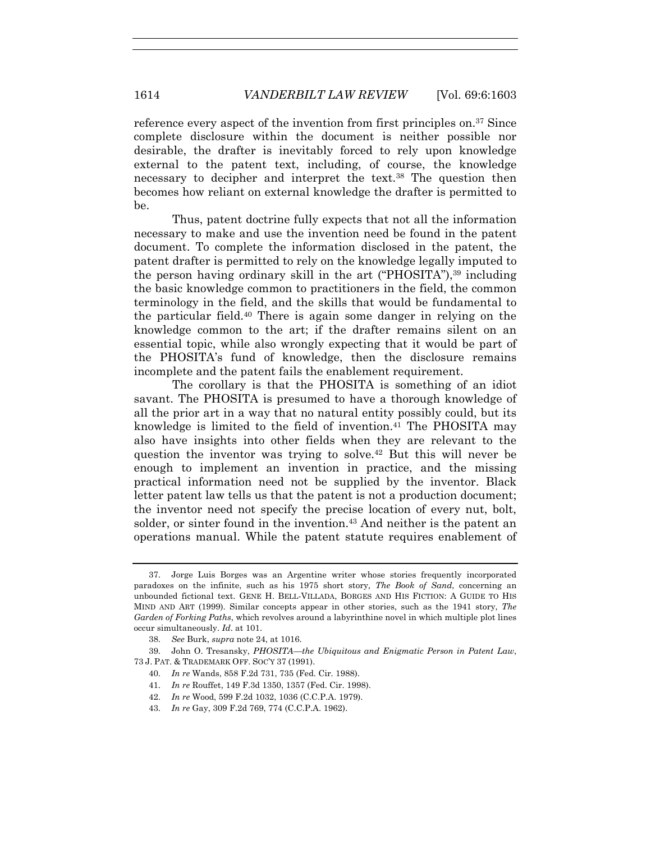reference every aspect of the invention from first principles on.37 Since complete disclosure within the document is neither possible nor desirable, the drafter is inevitably forced to rely upon knowledge external to the patent text, including, of course, the knowledge necessary to decipher and interpret the text.38 The question then becomes how reliant on external knowledge the drafter is permitted to be.

Thus, patent doctrine fully expects that not all the information necessary to make and use the invention need be found in the patent document. To complete the information disclosed in the patent, the patent drafter is permitted to rely on the knowledge legally imputed to the person having ordinary skill in the art ("PHOSITA"),39 including the basic knowledge common to practitioners in the field, the common terminology in the field, and the skills that would be fundamental to the particular field.40 There is again some danger in relying on the knowledge common to the art; if the drafter remains silent on an essential topic, while also wrongly expecting that it would be part of the PHOSITA's fund of knowledge, then the disclosure remains incomplete and the patent fails the enablement requirement.

The corollary is that the PHOSITA is something of an idiot savant. The PHOSITA is presumed to have a thorough knowledge of all the prior art in a way that no natural entity possibly could, but its knowledge is limited to the field of invention.<sup>41</sup> The PHOSITA may also have insights into other fields when they are relevant to the question the inventor was trying to solve.42 But this will never be enough to implement an invention in practice, and the missing practical information need not be supplied by the inventor. Black letter patent law tells us that the patent is not a production document; the inventor need not specify the precise location of every nut, bolt, solder, or sinter found in the invention.<sup>43</sup> And neither is the patent an operations manual. While the patent statute requires enablement of

- 40. *In re* Wands, 858 F.2d 731, 735 (Fed. Cir. 1988).
- 41. *In re* Rouffet, 149 F.3d 1350, 1357 (Fed. Cir. 1998).
- 42. *In re* Wood, 599 F.2d 1032, 1036 (C.C.P.A. 1979).
- 43. *In re* Gay, 309 F.2d 769, 774 (C.C.P.A. 1962).

 <sup>37.</sup> Jorge Luis Borges was an Argentine writer whose stories frequently incorporated paradoxes on the infinite, such as his 1975 short story*, The Book of Sand*, concerning an unbounded fictional text. GENE H. BELL-VILLADA, BORGES AND HIS FICTION: A GUIDE TO HIS MIND AND ART (1999). Similar concepts appear in other stories, such as the 1941 story, *The Garden of Forking Paths*, which revolves around a labyrinthine novel in which multiple plot lines occur simultaneously. *Id*. at 101.

 <sup>38.</sup> *See* Burk, *supra* note 24, at 1016.

 <sup>39.</sup> John O. Tresansky, *PHOSITA—the Ubiquitous and Enigmatic Person in Patent Law*, 73 J. PAT. & TRADEMARK OFF. SOC'Y 37 (1991).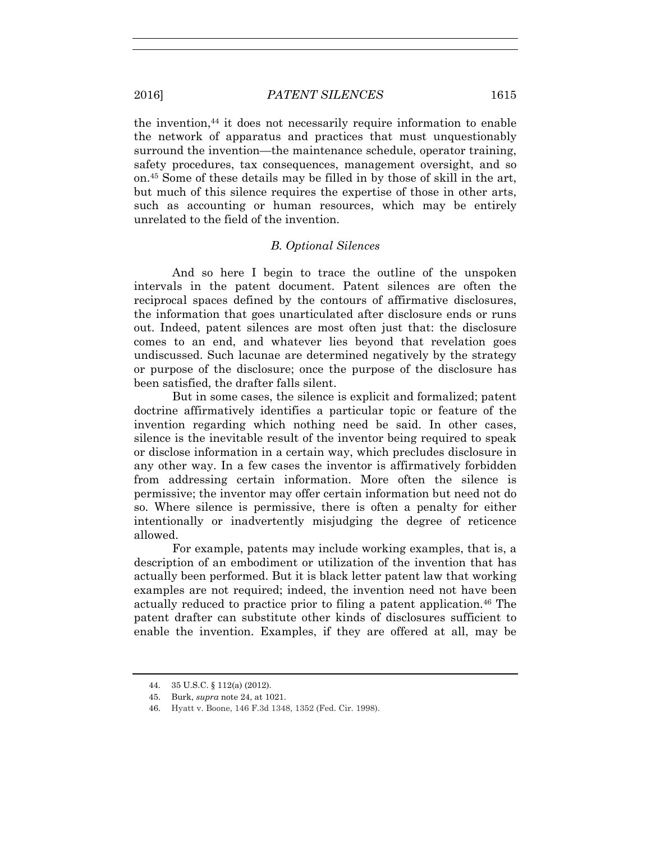the invention, $44$  it does not necessarily require information to enable the network of apparatus and practices that must unquestionably surround the invention—the maintenance schedule, operator training, safety procedures, tax consequences, management oversight, and so on.45 Some of these details may be filled in by those of skill in the art, but much of this silence requires the expertise of those in other arts, such as accounting or human resources, which may be entirely unrelated to the field of the invention.

# *B. Optional Silences*

And so here I begin to trace the outline of the unspoken intervals in the patent document. Patent silences are often the reciprocal spaces defined by the contours of affirmative disclosures, the information that goes unarticulated after disclosure ends or runs out. Indeed, patent silences are most often just that: the disclosure comes to an end, and whatever lies beyond that revelation goes undiscussed. Such lacunae are determined negatively by the strategy or purpose of the disclosure; once the purpose of the disclosure has been satisfied, the drafter falls silent.

But in some cases, the silence is explicit and formalized; patent doctrine affirmatively identifies a particular topic or feature of the invention regarding which nothing need be said. In other cases, silence is the inevitable result of the inventor being required to speak or disclose information in a certain way, which precludes disclosure in any other way. In a few cases the inventor is affirmatively forbidden from addressing certain information. More often the silence is permissive; the inventor may offer certain information but need not do so. Where silence is permissive, there is often a penalty for either intentionally or inadvertently misjudging the degree of reticence allowed.

For example, patents may include working examples, that is, a description of an embodiment or utilization of the invention that has actually been performed. But it is black letter patent law that working examples are not required; indeed, the invention need not have been actually reduced to practice prior to filing a patent application.46 The patent drafter can substitute other kinds of disclosures sufficient to enable the invention. Examples, if they are offered at all, may be

 <sup>44. 35</sup> U.S.C. § 112(a) (2012).

 <sup>45.</sup> Burk, *supra* note 24, at 1021.

 <sup>46.</sup> Hyatt v. Boone, 146 F.3d 1348, 1352 (Fed. Cir. 1998).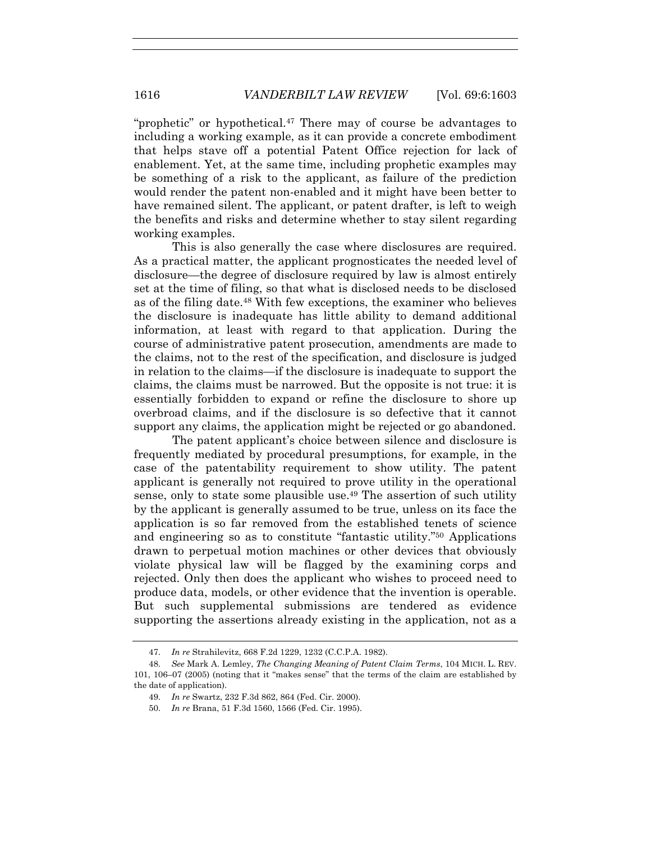"prophetic" or hypothetical.<sup>47</sup> There may of course be advantages to including a working example, as it can provide a concrete embodiment that helps stave off a potential Patent Office rejection for lack of enablement. Yet, at the same time, including prophetic examples may be something of a risk to the applicant, as failure of the prediction would render the patent non-enabled and it might have been better to have remained silent. The applicant, or patent drafter, is left to weigh the benefits and risks and determine whether to stay silent regarding working examples.

This is also generally the case where disclosures are required. As a practical matter, the applicant prognosticates the needed level of disclosure—the degree of disclosure required by law is almost entirely set at the time of filing, so that what is disclosed needs to be disclosed as of the filing date.48 With few exceptions, the examiner who believes the disclosure is inadequate has little ability to demand additional information, at least with regard to that application. During the course of administrative patent prosecution, amendments are made to the claims, not to the rest of the specification, and disclosure is judged in relation to the claims—if the disclosure is inadequate to support the claims, the claims must be narrowed. But the opposite is not true: it is essentially forbidden to expand or refine the disclosure to shore up overbroad claims, and if the disclosure is so defective that it cannot support any claims, the application might be rejected or go abandoned.

The patent applicant's choice between silence and disclosure is frequently mediated by procedural presumptions, for example, in the case of the patentability requirement to show utility. The patent applicant is generally not required to prove utility in the operational sense, only to state some plausible use.<sup>49</sup> The assertion of such utility by the applicant is generally assumed to be true, unless on its face the application is so far removed from the established tenets of science and engineering so as to constitute "fantastic utility."50 Applications drawn to perpetual motion machines or other devices that obviously violate physical law will be flagged by the examining corps and rejected. Only then does the applicant who wishes to proceed need to produce data, models, or other evidence that the invention is operable. But such supplemental submissions are tendered as evidence supporting the assertions already existing in the application, not as a

 <sup>47.</sup> *In re* Strahilevitz, 668 F.2d 1229, 1232 (C.C.P.A. 1982).

 <sup>48.</sup> *See* Mark A. Lemley, *The Changing Meaning of Patent Claim Terms*, 104 MICH. L. REV. 101, 106–07 (2005) (noting that it "makes sense" that the terms of the claim are established by the date of application).

 <sup>49.</sup> *In re* Swartz, 232 F.3d 862, 864 (Fed. Cir. 2000).

 <sup>50.</sup> *In re* Brana, 51 F.3d 1560, 1566 (Fed. Cir. 1995).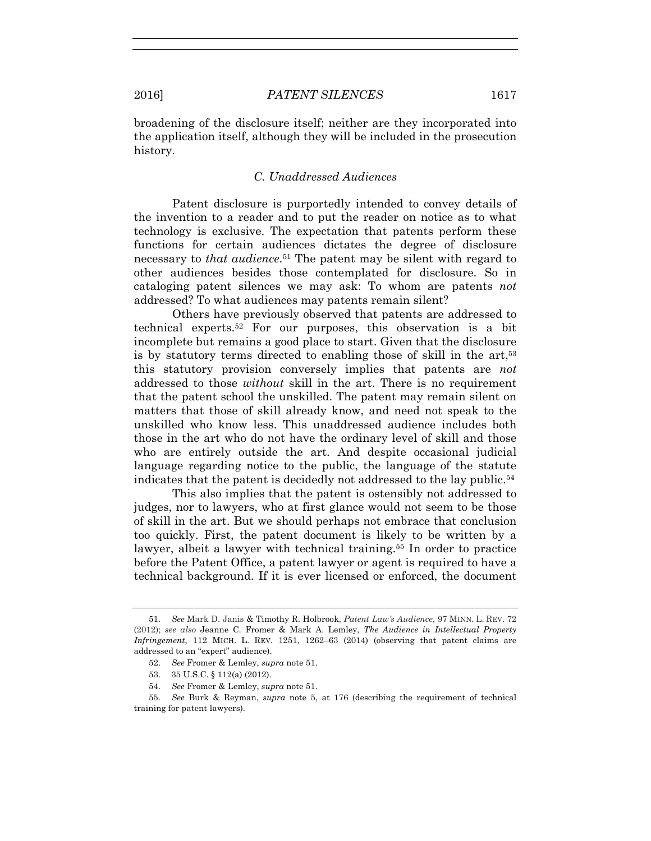broadening of the disclosure itself; neither are they incorporated into the application itself, although they will be included in the prosecution history.

# *C. Unaddressed Audiences*

Patent disclosure is purportedly intended to convey details of the invention to a reader and to put the reader on notice as to what technology is exclusive. The expectation that patents perform these functions for certain audiences dictates the degree of disclosure necessary to *that audience*.51 The patent may be silent with regard to other audiences besides those contemplated for disclosure. So in cataloging patent silences we may ask: To whom are patents *not* addressed? To what audiences may patents remain silent?

Others have previously observed that patents are addressed to technical experts.52 For our purposes, this observation is a bit incomplete but remains a good place to start. Given that the disclosure is by statutory terms directed to enabling those of skill in the art,53 this statutory provision conversely implies that patents are *not* addressed to those *without* skill in the art. There is no requirement that the patent school the unskilled. The patent may remain silent on matters that those of skill already know, and need not speak to the unskilled who know less. This unaddressed audience includes both those in the art who do not have the ordinary level of skill and those who are entirely outside the art. And despite occasional judicial language regarding notice to the public, the language of the statute indicates that the patent is decidedly not addressed to the lay public.54

This also implies that the patent is ostensibly not addressed to judges, nor to lawyers, who at first glance would not seem to be those of skill in the art. But we should perhaps not embrace that conclusion too quickly. First, the patent document is likely to be written by a lawyer, albeit a lawyer with technical training.55 In order to practice before the Patent Office, a patent lawyer or agent is required to have a technical background. If it is ever licensed or enforced, the document

 <sup>51.</sup> *See* Mark D. Janis & Timothy R. Holbrook, *Patent Law's Audience*, 97 MINN. L. REV. 72 (2012); *see also* Jeanne C. Fromer & Mark A. Lemley, *The Audience in Intellectual Property Infringement*, 112 MICH. L. REV. 1251, 1262–63 (2014) (observing that patent claims are addressed to an "expert" audience).

 <sup>52.</sup> *See* Fromer & Lemley, *supra* note 51.

 <sup>53. 35</sup> U.S.C. § 112(a) (2012).

 <sup>54.</sup> *See* Fromer & Lemley, *supra* note 51.

 <sup>55.</sup> *See* Burk & Reyman, *supra* note 5, at 176 (describing the requirement of technical training for patent lawyers).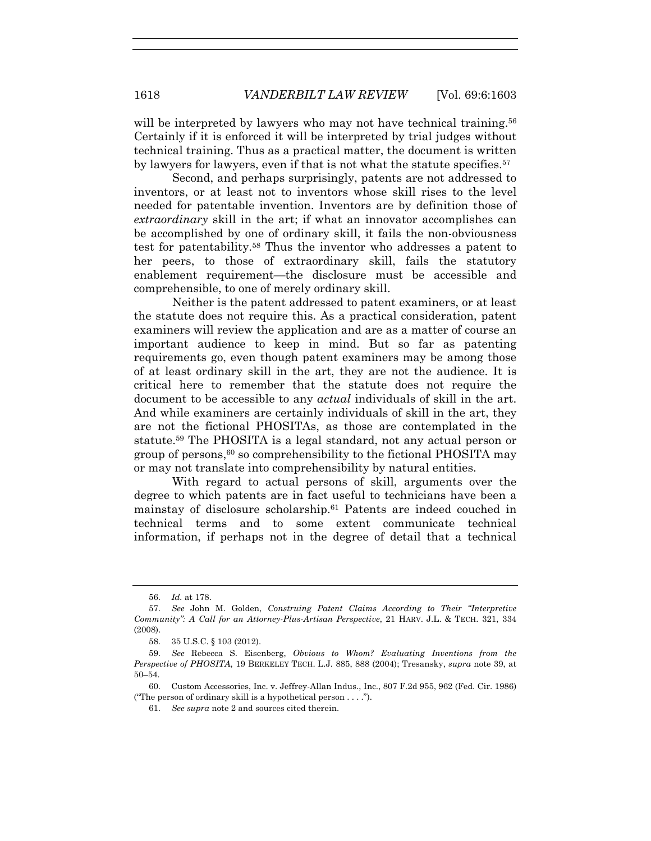will be interpreted by lawyers who may not have technical training.<sup>56</sup> Certainly if it is enforced it will be interpreted by trial judges without technical training. Thus as a practical matter, the document is written by lawyers for lawyers, even if that is not what the statute specifies.<sup>57</sup>

Second, and perhaps surprisingly, patents are not addressed to inventors, or at least not to inventors whose skill rises to the level needed for patentable invention. Inventors are by definition those of *extraordinary* skill in the art; if what an innovator accomplishes can be accomplished by one of ordinary skill, it fails the non-obviousness test for patentability.58 Thus the inventor who addresses a patent to her peers, to those of extraordinary skill, fails the statutory enablement requirement—the disclosure must be accessible and comprehensible, to one of merely ordinary skill.

Neither is the patent addressed to patent examiners, or at least the statute does not require this. As a practical consideration, patent examiners will review the application and are as a matter of course an important audience to keep in mind. But so far as patenting requirements go, even though patent examiners may be among those of at least ordinary skill in the art, they are not the audience. It is critical here to remember that the statute does not require the document to be accessible to any *actual* individuals of skill in the art. And while examiners are certainly individuals of skill in the art, they are not the fictional PHOSITAs, as those are contemplated in the statute.59 The PHOSITA is a legal standard, not any actual person or group of persons,  $60$  so comprehensibility to the fictional PHOSITA may or may not translate into comprehensibility by natural entities.

With regard to actual persons of skill, arguments over the degree to which patents are in fact useful to technicians have been a mainstay of disclosure scholarship.61 Patents are indeed couched in technical terms and to some extent communicate technical information, if perhaps not in the degree of detail that a technical

 <sup>56.</sup> *Id.* at 178.

 <sup>57.</sup> *See* John M. Golden, *Construing Patent Claims According to Their "Interpretive Community": A Call for an Attorney-Plus-Artisan Perspective*, 21 HARV. J.L. & TECH. 321, 334 (2008).

 <sup>58. 35</sup> U.S.C. § 103 (2012).

 <sup>59.</sup> *See* Rebecca S. Eisenberg, *Obvious to Whom? Evaluating Inventions from the Perspective of PHOSITA*, 19 BERKELEY TECH. L.J. 885, 888 (2004); Tresansky, *supra* note 39, at 50–54.

 <sup>60.</sup> Custom Accessories, Inc. v. Jeffrey-Allan Indus., Inc., 807 F.2d 955, 962 (Fed. Cir. 1986) ("The person of ordinary skill is a hypothetical person . . . .").

 <sup>61.</sup> *See supra* note 2 and sources cited therein.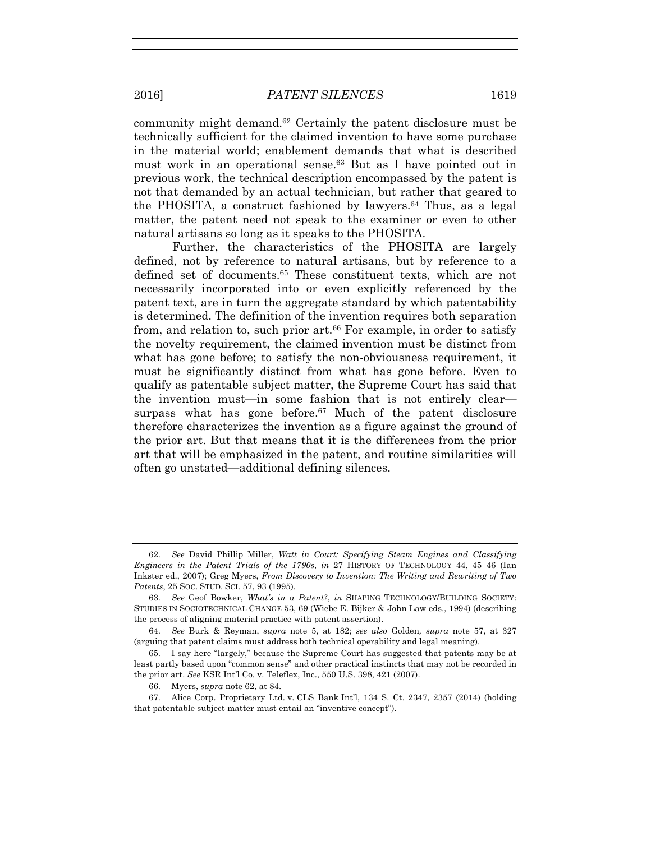community might demand.62 Certainly the patent disclosure must be technically sufficient for the claimed invention to have some purchase in the material world; enablement demands that what is described must work in an operational sense.63 But as I have pointed out in previous work, the technical description encompassed by the patent is not that demanded by an actual technician, but rather that geared to the PHOSITA, a construct fashioned by lawyers.64 Thus, as a legal matter, the patent need not speak to the examiner or even to other natural artisans so long as it speaks to the PHOSITA.

Further, the characteristics of the PHOSITA are largely defined, not by reference to natural artisans, but by reference to a defined set of documents.65 These constituent texts, which are not necessarily incorporated into or even explicitly referenced by the patent text, are in turn the aggregate standard by which patentability is determined. The definition of the invention requires both separation from, and relation to, such prior art.<sup>66</sup> For example, in order to satisfy the novelty requirement, the claimed invention must be distinct from what has gone before; to satisfy the non-obviousness requirement, it must be significantly distinct from what has gone before. Even to qualify as patentable subject matter, the Supreme Court has said that the invention must—in some fashion that is not entirely clear surpass what has gone before. $67$  Much of the patent disclosure therefore characterizes the invention as a figure against the ground of the prior art. But that means that it is the differences from the prior art that will be emphasized in the patent, and routine similarities will often go unstated—additional defining silences.

 <sup>62.</sup> *See* David Phillip Miller, *Watt in Court: Specifying Steam Engines and Classifying Engineers in the Patent Trials of the 1790s*, *in* 27 HISTORY OF TECHNOLOGY 44, 45–46 (Ian Inkster ed., 2007); Greg Myers, *From Discovery to Invention: The Writing and Rewriting of Two Patents*, 25 SOC. STUD. SCI. 57, 93 (1995).

 <sup>63.</sup> *See* Geof Bowker, *What's in a Patent?*, *in* SHAPING TECHNOLOGY/BUILDING SOCIETY: STUDIES IN SOCIOTECHNICAL CHANGE 53, 69 (Wiebe E. Bijker & John Law eds., 1994) (describing the process of aligning material practice with patent assertion).

 <sup>64.</sup> *See* Burk & Reyman, *supra* note 5, at 182; *see also* Golden*, supra* note 57, at 327 (arguing that patent claims must address both technical operability and legal meaning).

 <sup>65.</sup> I say here "largely," because the Supreme Court has suggested that patents may be at least partly based upon "common sense" and other practical instincts that may not be recorded in the prior art. *See* KSR Int'l Co. v. Teleflex, Inc., 550 U.S. 398, 421 (2007).

 <sup>66.</sup> Myers, *supra* note 62, at 84.

 <sup>67.</sup> Alice Corp. Proprietary Ltd. v. CLS Bank Int'l, 134 S. Ct. 2347, 2357 (2014) (holding that patentable subject matter must entail an "inventive concept").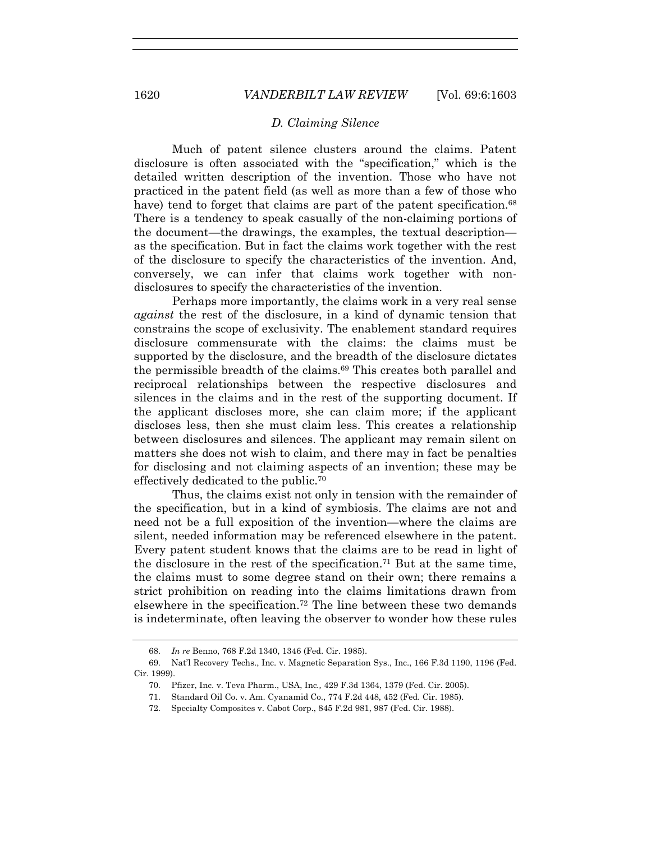## *D. Claiming Silence*

Much of patent silence clusters around the claims. Patent disclosure is often associated with the "specification," which is the detailed written description of the invention. Those who have not practiced in the patent field (as well as more than a few of those who have) tend to forget that claims are part of the patent specification.<sup>68</sup> There is a tendency to speak casually of the non-claiming portions of the document—the drawings, the examples, the textual description as the specification. But in fact the claims work together with the rest of the disclosure to specify the characteristics of the invention. And, conversely, we can infer that claims work together with nondisclosures to specify the characteristics of the invention.

Perhaps more importantly, the claims work in a very real sense *against* the rest of the disclosure, in a kind of dynamic tension that constrains the scope of exclusivity. The enablement standard requires disclosure commensurate with the claims: the claims must be supported by the disclosure, and the breadth of the disclosure dictates the permissible breadth of the claims.69 This creates both parallel and reciprocal relationships between the respective disclosures and silences in the claims and in the rest of the supporting document. If the applicant discloses more, she can claim more; if the applicant discloses less, then she must claim less. This creates a relationship between disclosures and silences. The applicant may remain silent on matters she does not wish to claim, and there may in fact be penalties for disclosing and not claiming aspects of an invention; these may be effectively dedicated to the public.70

Thus, the claims exist not only in tension with the remainder of the specification, but in a kind of symbiosis. The claims are not and need not be a full exposition of the invention—where the claims are silent, needed information may be referenced elsewhere in the patent. Every patent student knows that the claims are to be read in light of the disclosure in the rest of the specification.71 But at the same time, the claims must to some degree stand on their own; there remains a strict prohibition on reading into the claims limitations drawn from elsewhere in the specification.72 The line between these two demands is indeterminate, often leaving the observer to wonder how these rules

 <sup>68.</sup> *In re* Benno, 768 F.2d 1340, 1346 (Fed. Cir. 1985).

 <sup>69.</sup> Nat'l Recovery Techs., Inc. v. Magnetic Separation Sys., Inc., 166 F.3d 1190, 1196 (Fed. Cir. 1999).

 <sup>70.</sup> Pfizer, Inc. v. Teva Pharm., USA, Inc*.,* 429 F.3d 1364, 1379 (Fed. Cir. 2005).

 <sup>71.</sup> Standard Oil Co. v. Am. Cyanamid Co., 774 F.2d 448, 452 (Fed. Cir. 1985).

 <sup>72.</sup> Specialty Composites v. Cabot Corp., 845 F.2d 981, 987 (Fed. Cir. 1988).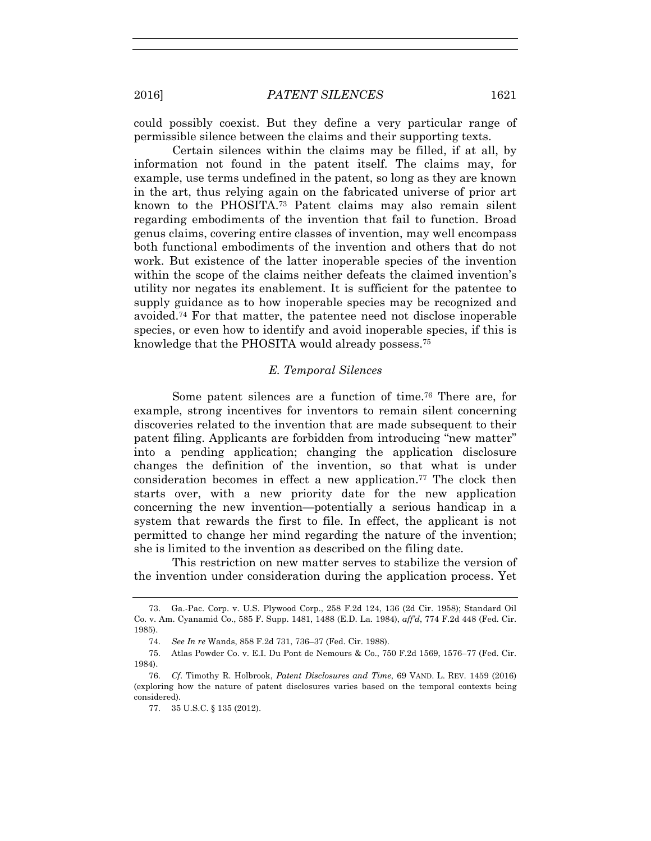could possibly coexist. But they define a very particular range of permissible silence between the claims and their supporting texts.

Certain silences within the claims may be filled, if at all, by information not found in the patent itself. The claims may, for example, use terms undefined in the patent, so long as they are known in the art, thus relying again on the fabricated universe of prior art known to the PHOSITA.73 Patent claims may also remain silent regarding embodiments of the invention that fail to function. Broad genus claims, covering entire classes of invention, may well encompass both functional embodiments of the invention and others that do not work. But existence of the latter inoperable species of the invention within the scope of the claims neither defeats the claimed invention's utility nor negates its enablement. It is sufficient for the patentee to supply guidance as to how inoperable species may be recognized and avoided.74 For that matter, the patentee need not disclose inoperable species, or even how to identify and avoid inoperable species, if this is knowledge that the PHOSITA would already possess.75

## *E. Temporal Silences*

Some patent silences are a function of time.76 There are, for example, strong incentives for inventors to remain silent concerning discoveries related to the invention that are made subsequent to their patent filing. Applicants are forbidden from introducing "new matter" into a pending application; changing the application disclosure changes the definition of the invention, so that what is under consideration becomes in effect a new application.77 The clock then starts over, with a new priority date for the new application concerning the new invention—potentially a serious handicap in a system that rewards the first to file. In effect, the applicant is not permitted to change her mind regarding the nature of the invention; she is limited to the invention as described on the filing date.

This restriction on new matter serves to stabilize the version of the invention under consideration during the application process. Yet

 <sup>73.</sup> Ga.-Pac. Corp. v. U.S. Plywood Corp., 258 F.2d 124, 136 (2d Cir. 1958); Standard Oil Co. v. Am. Cyanamid Co., 585 F. Supp. 1481, 1488 (E.D. La. 1984), *aff'd*, 774 F.2d 448 (Fed. Cir. 1985).

 <sup>74.</sup> *See In re* Wands, 858 F.2d 731, 736–37 (Fed. Cir. 1988).

 <sup>75.</sup> Atlas Powder Co. v. E.I. Du Pont de Nemours & Co., 750 F.2d 1569, 1576–77 (Fed. Cir. 1984).

 <sup>76.</sup> *Cf*. Timothy R. Holbrook, *Patent Disclosures and Time*, 69 VAND. L. REV. 1459 (2016) (exploring how the nature of patent disclosures varies based on the temporal contexts being considered).

 <sup>77. 35</sup> U.S.C. § 135 (2012).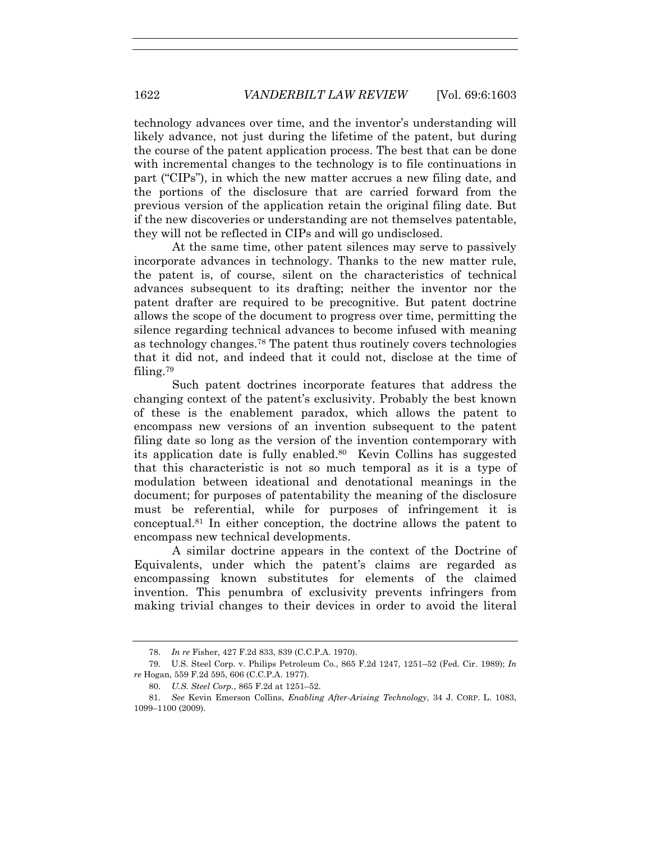technology advances over time, and the inventor's understanding will likely advance, not just during the lifetime of the patent, but during the course of the patent application process. The best that can be done with incremental changes to the technology is to file continuations in part ("CIPs"), in which the new matter accrues a new filing date, and the portions of the disclosure that are carried forward from the previous version of the application retain the original filing date. But if the new discoveries or understanding are not themselves patentable, they will not be reflected in CIPs and will go undisclosed.

At the same time, other patent silences may serve to passively incorporate advances in technology. Thanks to the new matter rule, the patent is, of course, silent on the characteristics of technical advances subsequent to its drafting; neither the inventor nor the patent drafter are required to be precognitive. But patent doctrine allows the scope of the document to progress over time, permitting the silence regarding technical advances to become infused with meaning as technology changes.78 The patent thus routinely covers technologies that it did not, and indeed that it could not, disclose at the time of filing.79

Such patent doctrines incorporate features that address the changing context of the patent's exclusivity. Probably the best known of these is the enablement paradox, which allows the patent to encompass new versions of an invention subsequent to the patent filing date so long as the version of the invention contemporary with its application date is fully enabled.80 Kevin Collins has suggested that this characteristic is not so much temporal as it is a type of modulation between ideational and denotational meanings in the document; for purposes of patentability the meaning of the disclosure must be referential, while for purposes of infringement it is conceptual.81 In either conception, the doctrine allows the patent to encompass new technical developments.

A similar doctrine appears in the context of the Doctrine of Equivalents, under which the patent's claims are regarded as encompassing known substitutes for elements of the claimed invention. This penumbra of exclusivity prevents infringers from making trivial changes to their devices in order to avoid the literal

 <sup>78.</sup> *In re* Fisher, 427 F.2d 833, 839 (C.C.P.A. 1970).

 <sup>79.</sup> U.S. Steel Corp. v. Philips Petroleum Co., 865 F.2d 1247, 1251–52 (Fed. Cir. 1989); *In re* Hogan, 559 F.2d 595, 606 (C.C.P.A. 1977).

 <sup>80.</sup> *U.S. Steel Corp.*, 865 F.2d at 1251–52.

 <sup>81.</sup> *See* Kevin Emerson Collins, *Enabling After-Arising Technology*, 34 J. CORP. L. 1083, 1099–1100 (2009).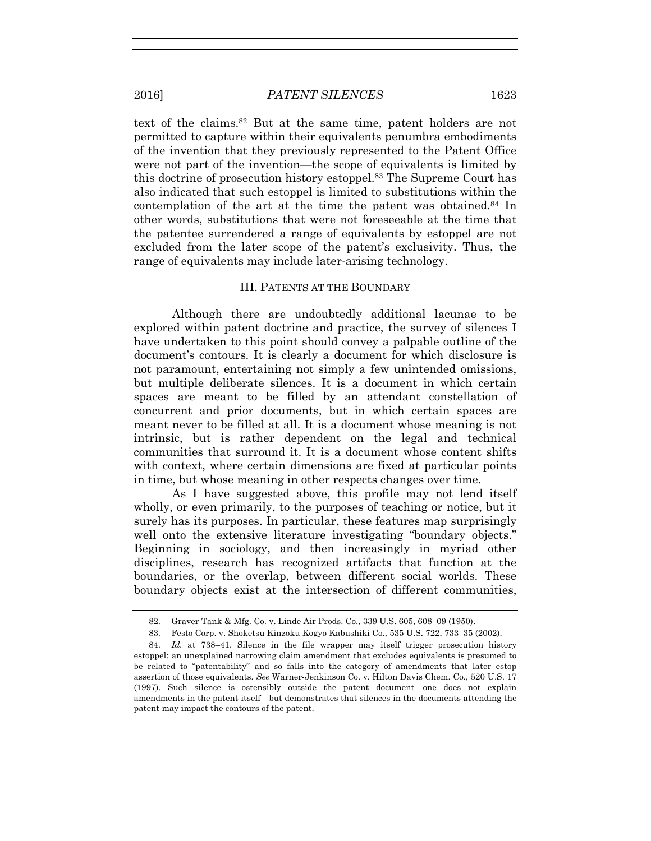text of the claims.82 But at the same time, patent holders are not permitted to capture within their equivalents penumbra embodiments of the invention that they previously represented to the Patent Office were not part of the invention—the scope of equivalents is limited by this doctrine of prosecution history estoppel.83 The Supreme Court has also indicated that such estoppel is limited to substitutions within the contemplation of the art at the time the patent was obtained.84 In other words, substitutions that were not foreseeable at the time that the patentee surrendered a range of equivalents by estoppel are not excluded from the later scope of the patent's exclusivity. Thus, the range of equivalents may include later-arising technology.

# III. PATENTS AT THE BOUNDARY

Although there are undoubtedly additional lacunae to be explored within patent doctrine and practice, the survey of silences I have undertaken to this point should convey a palpable outline of the document's contours. It is clearly a document for which disclosure is not paramount, entertaining not simply a few unintended omissions, but multiple deliberate silences. It is a document in which certain spaces are meant to be filled by an attendant constellation of concurrent and prior documents, but in which certain spaces are meant never to be filled at all. It is a document whose meaning is not intrinsic, but is rather dependent on the legal and technical communities that surround it. It is a document whose content shifts with context, where certain dimensions are fixed at particular points in time, but whose meaning in other respects changes over time.

As I have suggested above, this profile may not lend itself wholly, or even primarily, to the purposes of teaching or notice, but it surely has its purposes. In particular, these features map surprisingly well onto the extensive literature investigating "boundary objects." Beginning in sociology, and then increasingly in myriad other disciplines, research has recognized artifacts that function at the boundaries, or the overlap, between different social worlds. These boundary objects exist at the intersection of different communities,

 <sup>82.</sup> Graver Tank & Mfg. Co. v. Linde Air Prods. Co., 339 U.S. 605, 608–09 (1950).

 <sup>83.</sup> Festo Corp. v. Shoketsu Kinzoku Kogyo Kabushiki Co., 535 U.S. 722, 733–35 (2002).

 <sup>84.</sup> *Id.* at 738–41. Silence in the file wrapper may itself trigger prosecution history estoppel: an unexplained narrowing claim amendment that excludes equivalents is presumed to be related to "patentability" and so falls into the category of amendments that later estop assertion of those equivalents. *See* Warner-Jenkinson Co. v. Hilton Davis Chem. Co., 520 U.S. 17 (1997). Such silence is ostensibly outside the patent document—one does not explain amendments in the patent itself—but demonstrates that silences in the documents attending the patent may impact the contours of the patent.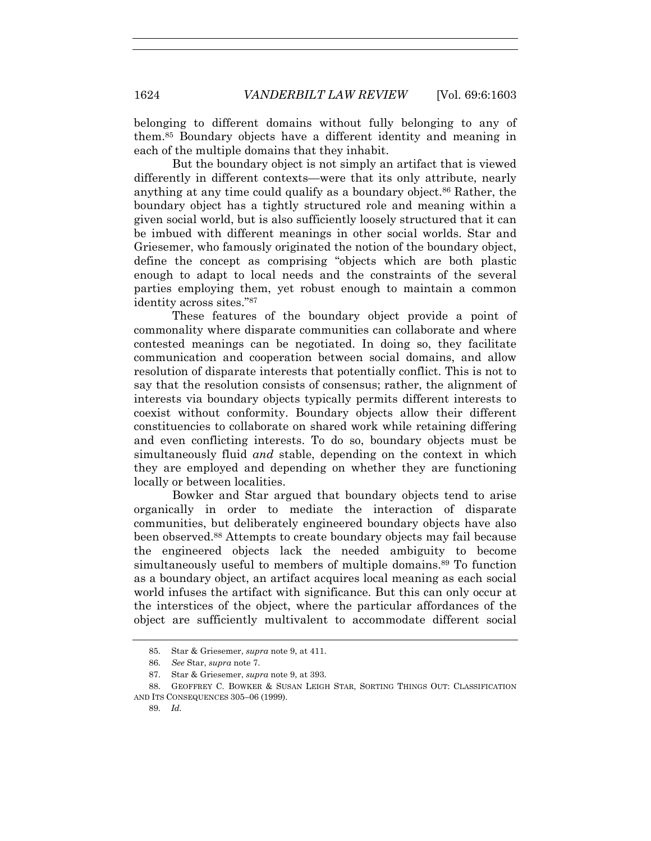belonging to different domains without fully belonging to any of them.85 Boundary objects have a different identity and meaning in each of the multiple domains that they inhabit.

But the boundary object is not simply an artifact that is viewed differently in different contexts—were that its only attribute, nearly anything at any time could qualify as a boundary object.<sup>86</sup> Rather, the boundary object has a tightly structured role and meaning within a given social world, but is also sufficiently loosely structured that it can be imbued with different meanings in other social worlds. Star and Griesemer, who famously originated the notion of the boundary object, define the concept as comprising "objects which are both plastic enough to adapt to local needs and the constraints of the several parties employing them, yet robust enough to maintain a common identity across sites."87

These features of the boundary object provide a point of commonality where disparate communities can collaborate and where contested meanings can be negotiated. In doing so, they facilitate communication and cooperation between social domains, and allow resolution of disparate interests that potentially conflict. This is not to say that the resolution consists of consensus; rather, the alignment of interests via boundary objects typically permits different interests to coexist without conformity. Boundary objects allow their different constituencies to collaborate on shared work while retaining differing and even conflicting interests. To do so, boundary objects must be simultaneously fluid *and* stable, depending on the context in which they are employed and depending on whether they are functioning locally or between localities.

Bowker and Star argued that boundary objects tend to arise organically in order to mediate the interaction of disparate communities, but deliberately engineered boundary objects have also been observed.88 Attempts to create boundary objects may fail because the engineered objects lack the needed ambiguity to become simultaneously useful to members of multiple domains.<sup>89</sup> To function as a boundary object, an artifact acquires local meaning as each social world infuses the artifact with significance. But this can only occur at the interstices of the object, where the particular affordances of the object are sufficiently multivalent to accommodate different social

 <sup>85.</sup> Star & Griesemer, *supra* note 9, at 411.

 <sup>86.</sup> *See* Star, *supra* note 7.

 <sup>87.</sup> Star & Griesemer, *supra* note 9, at 393.

 <sup>88.</sup> GEOFFREY C. BOWKER & SUSAN LEIGH STAR, SORTING THINGS OUT: CLASSIFICATION AND ITS CONSEQUENCES 305–06 (1999).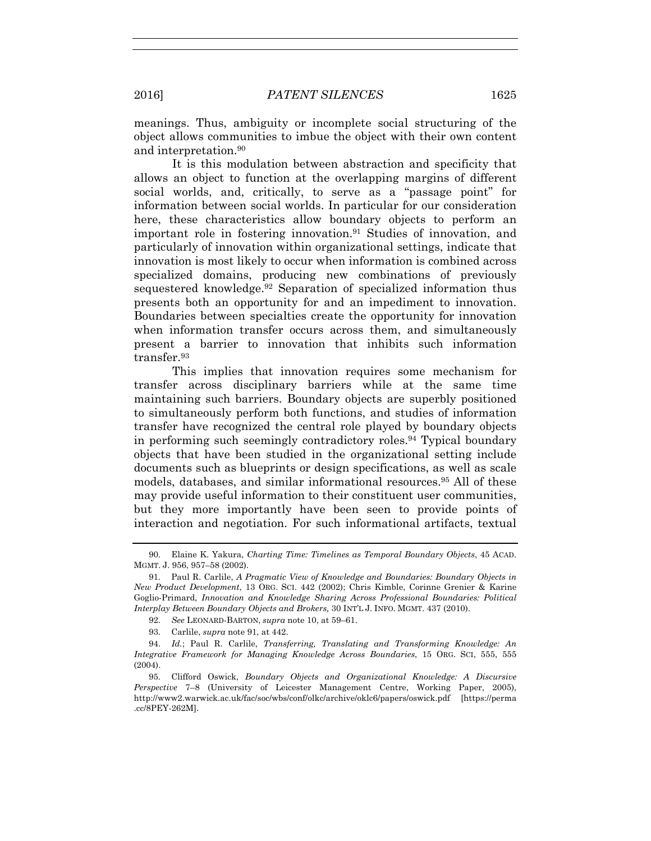meanings. Thus, ambiguity or incomplete social structuring of the object allows communities to imbue the object with their own content and interpretation.90

It is this modulation between abstraction and specificity that allows an object to function at the overlapping margins of different social worlds, and, critically, to serve as a "passage point" for information between social worlds. In particular for our consideration here, these characteristics allow boundary objects to perform an important role in fostering innovation.91 Studies of innovation, and particularly of innovation within organizational settings, indicate that innovation is most likely to occur when information is combined across specialized domains, producing new combinations of previously sequestered knowledge.92 Separation of specialized information thus presents both an opportunity for and an impediment to innovation. Boundaries between specialties create the opportunity for innovation when information transfer occurs across them, and simultaneously present a barrier to innovation that inhibits such information transfer.93

This implies that innovation requires some mechanism for transfer across disciplinary barriers while at the same time maintaining such barriers. Boundary objects are superbly positioned to simultaneously perform both functions, and studies of information transfer have recognized the central role played by boundary objects in performing such seemingly contradictory roles.94 Typical boundary objects that have been studied in the organizational setting include documents such as blueprints or design specifications, as well as scale models, databases, and similar informational resources.95 All of these may provide useful information to their constituent user communities, but they more importantly have been seen to provide points of interaction and negotiation. For such informational artifacts, textual

92. *See* LEONARD-BARTON, *supra* note 10, at 59–61.

93. Carlile, *supra* note 91, at 442.

 94. *Id.*; Paul R. Carlile, *Transferring, Translating and Transforming Knowledge: An Integrative Framework for Managing Knowledge Across Boundaries*, 15 ORG. SCI, 555, 555 (2004).

 <sup>90.</sup> Elaine K. Yakura, *Charting Time: Timelines as Temporal Boundary Objects*, 45 ACAD. MGMT. J. 956, 957–58 (2002).

 <sup>91.</sup> Paul R. Carlile, *A Pragmatic View of Knowledge and Boundaries: Boundary Objects in New Product Development*, 13 ORG. SCI. 442 (2002); Chris Kimble, Corinne Grenier & Karine Goglio-Primard, *Innovation and Knowledge Sharing Across Professional Boundaries: Political Interplay Between Boundary Objects and Brokers,* 30 INT'L J. INFO. MGMT. 437 (2010).

 <sup>95.</sup> Clifford Oswick, *Boundary Objects and Organizational Knowledge: A Discursive Perspective* 7–8 (University of Leicester Management Centre, Working Paper, 2005), http://www2.warwick.ac.uk/fac/soc/wbs/conf/olkc/archive/oklc6/papers/oswick.pdf [https://perma .cc/8PEY-262M].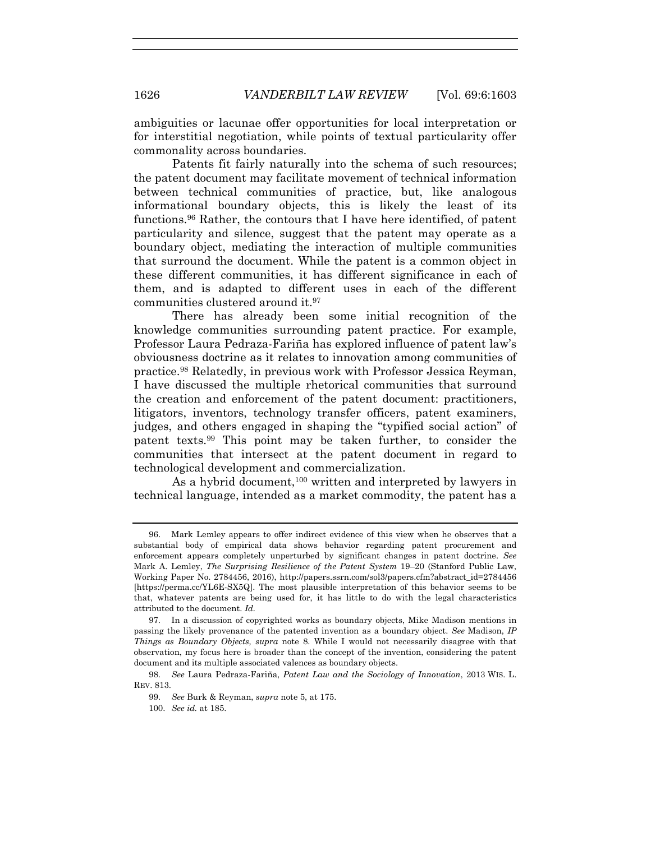ambiguities or lacunae offer opportunities for local interpretation or for interstitial negotiation, while points of textual particularity offer commonality across boundaries.

Patents fit fairly naturally into the schema of such resources; the patent document may facilitate movement of technical information between technical communities of practice, but, like analogous informational boundary objects, this is likely the least of its functions.96 Rather, the contours that I have here identified, of patent particularity and silence, suggest that the patent may operate as a boundary object, mediating the interaction of multiple communities that surround the document. While the patent is a common object in these different communities, it has different significance in each of them, and is adapted to different uses in each of the different communities clustered around it.97

There has already been some initial recognition of the knowledge communities surrounding patent practice. For example, Professor Laura Pedraza-Fariña has explored influence of patent law's obviousness doctrine as it relates to innovation among communities of practice.98 Relatedly, in previous work with Professor Jessica Reyman, I have discussed the multiple rhetorical communities that surround the creation and enforcement of the patent document: practitioners, litigators, inventors, technology transfer officers, patent examiners, judges, and others engaged in shaping the "typified social action" of patent texts.99 This point may be taken further, to consider the communities that intersect at the patent document in regard to technological development and commercialization.

As a hybrid document,<sup>100</sup> written and interpreted by lawyers in technical language, intended as a market commodity, the patent has a

 <sup>96.</sup> Mark Lemley appears to offer indirect evidence of this view when he observes that a substantial body of empirical data shows behavior regarding patent procurement and enforcement appears completely unperturbed by significant changes in patent doctrine. *See*  Mark A. Lemley, *The Surprising Resilience of the Patent System* 19–20 (Stanford Public Law, Working Paper No. 2784456, 2016), http://papers.ssrn.com/sol3/papers.cfm?abstract\_id=2784456 [https://perma.cc/YL6E-SX5Q]. The most plausible interpretation of this behavior seems to be that, whatever patents are being used for, it has little to do with the legal characteristics attributed to the document. *Id.* 

 <sup>97.</sup> In a discussion of copyrighted works as boundary objects, Mike Madison mentions in passing the likely provenance of the patented invention as a boundary object. *See* Madison, *IP Things as Boundary Objects, supra* note 8. While I would not necessarily disagree with that observation, my focus here is broader than the concept of the invention, considering the patent document and its multiple associated valences as boundary objects.

 <sup>98.</sup> *See* Laura Pedraza-Fariña, *Patent Law and the Sociology of Innovation*, 2013 WIS. L. REV. 813.

 <sup>99.</sup> *See* Burk & Reyman, *supra* note 5, at 175.

 <sup>100.</sup> *See id.* at 185.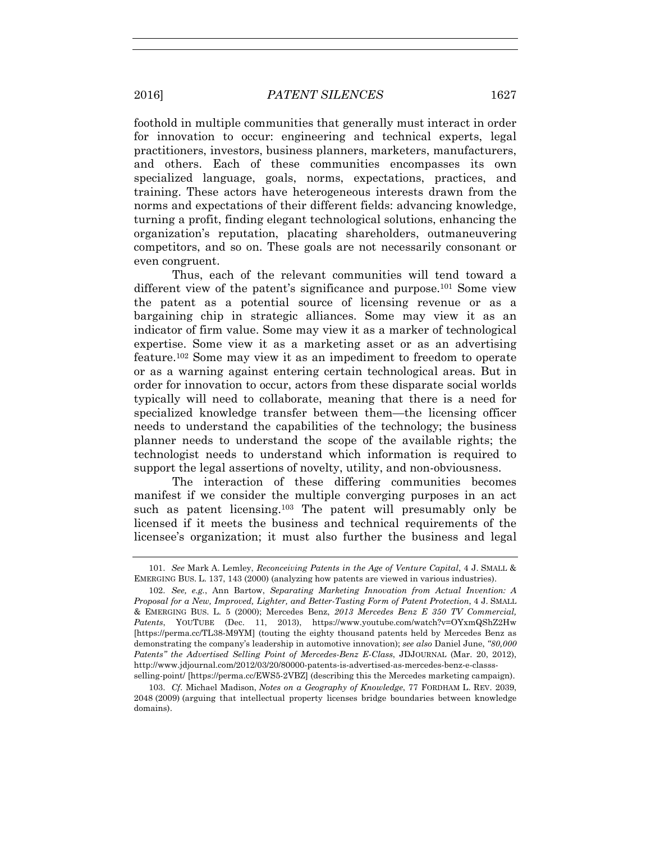foothold in multiple communities that generally must interact in order for innovation to occur: engineering and technical experts, legal practitioners, investors, business planners, marketers, manufacturers, and others. Each of these communities encompasses its own specialized language, goals, norms, expectations, practices, and training. These actors have heterogeneous interests drawn from the norms and expectations of their different fields: advancing knowledge, turning a profit, finding elegant technological solutions, enhancing the organization's reputation, placating shareholders, outmaneuvering competitors, and so on. These goals are not necessarily consonant or even congruent.

Thus, each of the relevant communities will tend toward a different view of the patent's significance and purpose.101 Some view the patent as a potential source of licensing revenue or as a bargaining chip in strategic alliances. Some may view it as an indicator of firm value. Some may view it as a marker of technological expertise. Some view it as a marketing asset or as an advertising feature.102 Some may view it as an impediment to freedom to operate or as a warning against entering certain technological areas. But in order for innovation to occur, actors from these disparate social worlds typically will need to collaborate, meaning that there is a need for specialized knowledge transfer between them—the licensing officer needs to understand the capabilities of the technology; the business planner needs to understand the scope of the available rights; the technologist needs to understand which information is required to support the legal assertions of novelty, utility, and non-obviousness.

The interaction of these differing communities becomes manifest if we consider the multiple converging purposes in an act such as patent licensing.<sup>103</sup> The patent will presumably only be licensed if it meets the business and technical requirements of the licensee's organization; it must also further the business and legal

 <sup>101.</sup> *See* Mark A. Lemley, *Reconceiving Patents in the Age of Venture Capital*, 4 J. SMALL & EMERGING BUS. L. 137, 143 (2000) (analyzing how patents are viewed in various industries).

 <sup>102.</sup> *See, e.g.*, Ann Bartow, *Separating Marketing Innovation from Actual Invention: A Proposal for a New, Improved, Lighter, and Better-Tasting Form of Patent Protection*, 4 J. SMALL & EMERGING BUS. L. 5 (2000); Mercedes Benz, *2013 Mercedes Benz E 350 TV Commercial, Patents*, YOUTUBE (Dec. 11, 2013), https://www.youtube.com/watch?v=OYxmQShZ2Hw [https://perma.cc/TL38-M9YM] (touting the eighty thousand patents held by Mercedes Benz as demonstrating the company's leadership in automotive innovation); *see also* Daniel June, *"80,000 Patents" the Advertised Selling Point of Mercedes-Benz E-Class*, JDJOURNAL (Mar. 20, 2012), http://www.jdjournal.com/2012/03/20/80000-patents-is-advertised-as-mercedes-benz-e-classsselling-point/ [https://perma.cc/EWS5-2VBZ] (describing this the Mercedes marketing campaign).

 <sup>103.</sup> *Cf*. Michael Madison, *Notes on a Geography of Knowledge*, 77 FORDHAM L. REV. 2039, 2048 (2009) (arguing that intellectual property licenses bridge boundaries between knowledge domains).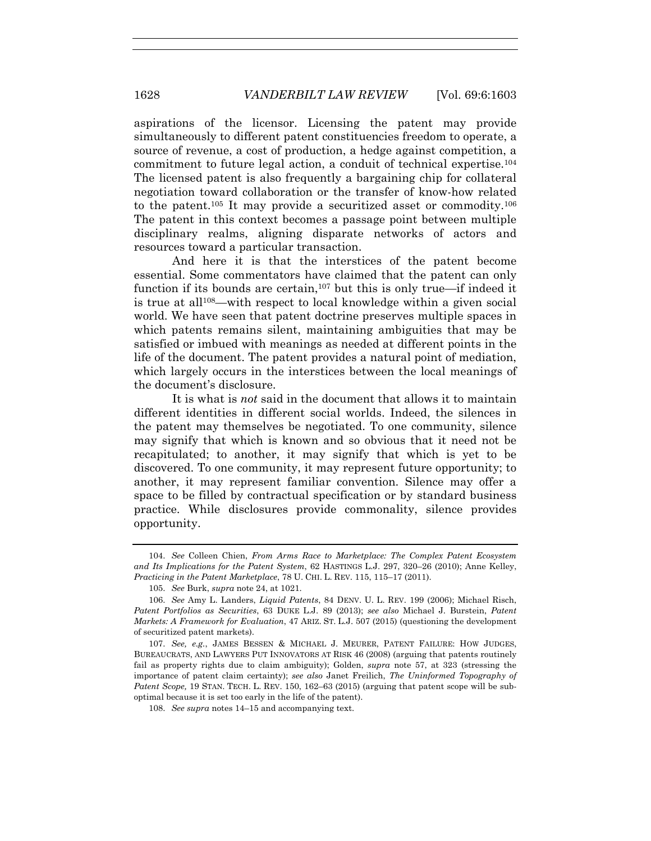aspirations of the licensor. Licensing the patent may provide simultaneously to different patent constituencies freedom to operate, a source of revenue, a cost of production, a hedge against competition, a commitment to future legal action, a conduit of technical expertise.104 The licensed patent is also frequently a bargaining chip for collateral negotiation toward collaboration or the transfer of know-how related to the patent.105 It may provide a securitized asset or commodity.106 The patent in this context becomes a passage point between multiple disciplinary realms, aligning disparate networks of actors and resources toward a particular transaction.

And here it is that the interstices of the patent become essential. Some commentators have claimed that the patent can only function if its bounds are certain,107 but this is only true—if indeed it is true at all108—with respect to local knowledge within a given social world. We have seen that patent doctrine preserves multiple spaces in which patents remains silent, maintaining ambiguities that may be satisfied or imbued with meanings as needed at different points in the life of the document. The patent provides a natural point of mediation, which largely occurs in the interstices between the local meanings of the document's disclosure.

It is what is *not* said in the document that allows it to maintain different identities in different social worlds. Indeed, the silences in the patent may themselves be negotiated. To one community, silence may signify that which is known and so obvious that it need not be recapitulated; to another, it may signify that which is yet to be discovered. To one community, it may represent future opportunity; to another, it may represent familiar convention. Silence may offer a space to be filled by contractual specification or by standard business practice. While disclosures provide commonality, silence provides opportunity.

108. *See supra* notes 14–15 and accompanying text.

 <sup>104.</sup> *See* Colleen Chien, *From Arms Race to Marketplace: The Complex Patent Ecosystem and Its Implications for the Patent System*, 62 HASTINGS L.J. 297, 320–26 (2010); Anne Kelley, *Practicing in the Patent Marketplace*, 78 U. CHI. L. REV. 115, 115–17 (2011).

 <sup>105.</sup> *See* Burk, *supra* note 24, at 1021.

 <sup>106.</sup> *See* Amy L. Landers, *Liquid Patents*, 84 DENV. U. L. REV. 199 (2006); Michael Risch, *Patent Portfolios as Securities*, 63 DUKE L.J. 89 (2013); *see also* Michael J. Burstein, *Patent Markets: A Framework for Evaluation*, 47 ARIZ. ST. L.J. 507 (2015) (questioning the development of securitized patent markets).

 <sup>107.</sup> *See, e.g.*, JAMES BESSEN & MICHAEL J. MEURER, PATENT FAILURE: HOW JUDGES, BUREAUCRATS, AND LAWYERS PUT INNOVATORS AT RISK 46 (2008) (arguing that patents routinely fail as property rights due to claim ambiguity); Golden, *supra* note 57, at 323 (stressing the importance of patent claim certainty); *see also* Janet Freilich, *The Uninformed Topography of Patent Scope,* 19 STAN. TECH. L. REV. 150, 162–63 (2015) (arguing that patent scope will be suboptimal because it is set too early in the life of the patent).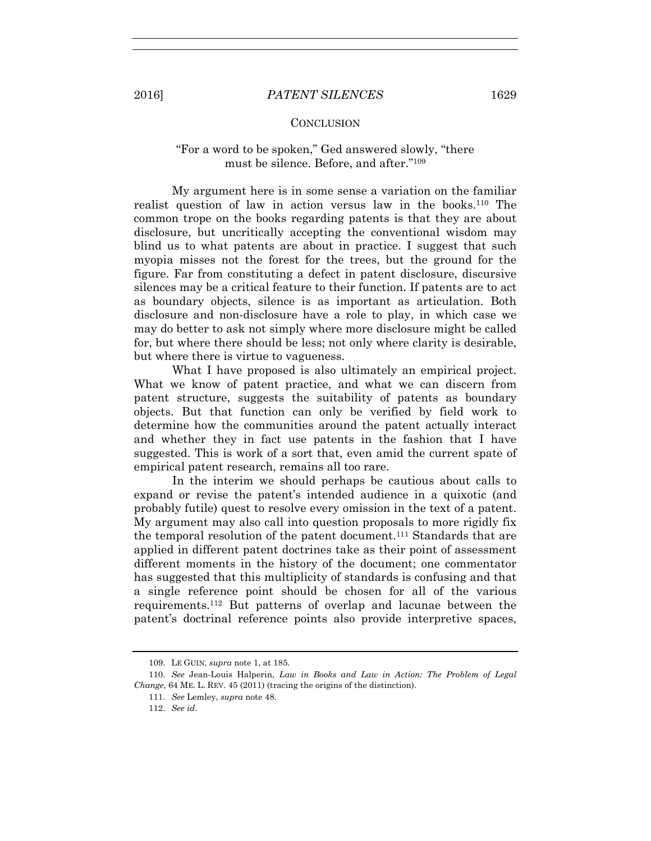### **CONCLUSION**

# "For a word to be spoken," Ged answered slowly, "there must be silence. Before, and after."109

My argument here is in some sense a variation on the familiar realist question of law in action versus law in the books.110 The common trope on the books regarding patents is that they are about disclosure, but uncritically accepting the conventional wisdom may blind us to what patents are about in practice. I suggest that such myopia misses not the forest for the trees, but the ground for the figure. Far from constituting a defect in patent disclosure, discursive silences may be a critical feature to their function. If patents are to act as boundary objects, silence is as important as articulation. Both disclosure and non-disclosure have a role to play, in which case we may do better to ask not simply where more disclosure might be called for, but where there should be less; not only where clarity is desirable, but where there is virtue to vagueness.

What I have proposed is also ultimately an empirical project. What we know of patent practice, and what we can discern from patent structure, suggests the suitability of patents as boundary objects. But that function can only be verified by field work to determine how the communities around the patent actually interact and whether they in fact use patents in the fashion that I have suggested. This is work of a sort that, even amid the current spate of empirical patent research, remains all too rare.

In the interim we should perhaps be cautious about calls to expand or revise the patent's intended audience in a quixotic (and probably futile) quest to resolve every omission in the text of a patent. My argument may also call into question proposals to more rigidly fix the temporal resolution of the patent document.111 Standards that are applied in different patent doctrines take as their point of assessment different moments in the history of the document; one commentator has suggested that this multiplicity of standards is confusing and that a single reference point should be chosen for all of the various requirements.112 But patterns of overlap and lacunae between the patent's doctrinal reference points also provide interpretive spaces,

 <sup>109.</sup> LE GUIN, *supra* note 1, at 185.

 <sup>110.</sup> *See* Jean-Louis Halperin, *Law in Books and Law in Action: The Problem of Legal Change*, 64 ME. L. REV. 45 (2011) (tracing the origins of the distinction).

 <sup>111.</sup> *See* Lemley, *supra* note 48.

 <sup>112.</sup> *See id.*